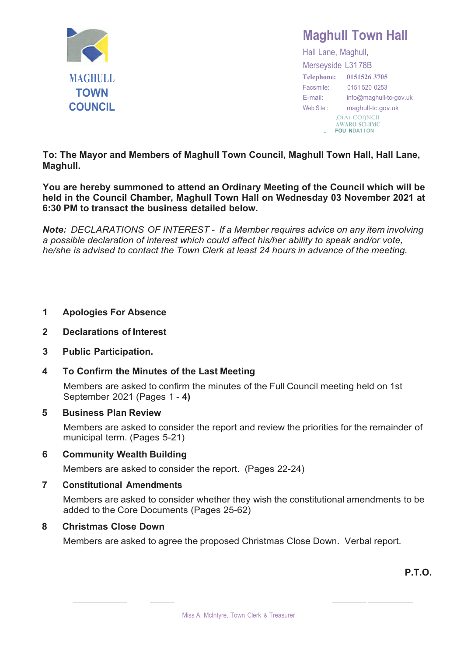

## **Maghull Town Hall**

Hall Lane, Maghull, Merseyside L3178B **Telephone: 0151526 3705** Facsmile: 0151 520 0253 E-mail: [info@maghull-tc-gov.uk](mailto:info@maghull-tc-gov.uk) Web Site : maghull-tc.gov.uk ,OtAt COl)NCll **AWARO SCl-llMC** ,. **FOU NDA1 I ON**

**To: The Mayor and Members of Maghull Town Council, Maghull Town Hall, Hall Lane, Maghull.**

**You are hereby summoned to attend an Ordinary Meeting of the Council which will be held in the Council Chamber, Maghull Town Hall on Wednesday 03 November 2021 at 6:30 PM to transact the business detailed below.**

*Note: DECLARATIONS OF INTEREST* - *If a Member requires advice on any item involving a possible declaration of interest which could affect his/her ability to speak and/or vote, he/she is advised to contact the Town Clerk at least 24 hours in advance of the meeting.*

### **1 Apologies For Absence**

- **2 Declarations of Interest**
- **3 Public Participation.**

## **4 To Confirm the Minutes of the Last Meeting**

Members are asked to confirm the minutes of the Full Council meeting held on 1st September 2021 (Pages 1 - **4)**

#### **5 Business Plan Review**

Members are asked to consider the report and review the priorities for the remainder of municipal term. (Pages 5-21)

#### **6 Community Wealth Building**

Members are asked to consider the report. (Pages 22-24)

#### **7 Constitutional Amendments**

Members are asked to consider whether they wish the constitutional amendments to be added to the Core Documents (Pages 25-62)

#### **8 Christmas Close Down**

Members are asked to agree the proposed Christmas Close Down. Verbal report.

**P.T.O.**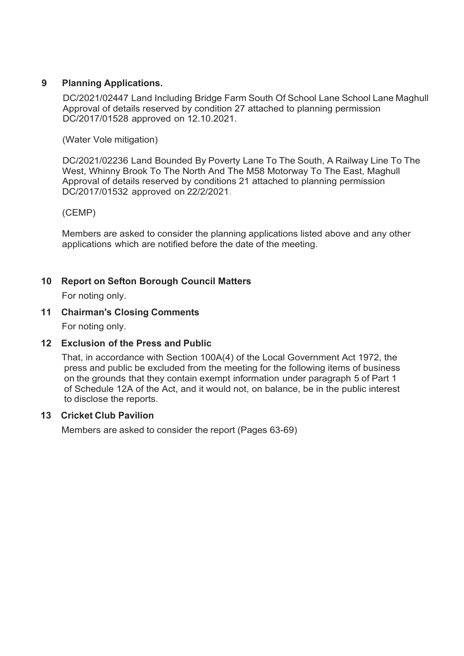### **9 Planning Applications.**

DC/2021/02447 Land Including Bridge Farm South Of School Lane School Lane Maghull Approval of details reserved by condition 27 attached to planning permission DC/2017/01528 approved on 12.10.2021.

(Water Vole mitigation)

DC/2021/02236 Land Bounded By Poverty Lane To The South, A Railway Line To The West, Whinny Brook To The North And The M58 Motorway To The East, Maghull Approval of details reserved by conditions 21 attached to planning permission DC/2017/01532 approved on 22/2/2021.

(CEMP)

Members are asked to consider the planning applications listed above and any other applications which are notified before the date of the meeting.

### **10 Report on Sefton Borough Council Matters**

For noting only.

#### **11 Chairman's Closing Comments**

For noting only.

#### **12 Exclusion of the Press and Public**

That, in accordance with Section 100A(4) of the Local Government Act 1972, the press and public be excluded from the meeting for the following items of business on the grounds that they contain exempt information under paragraph 5 of Part 1 of Schedule 12A of the Act, and it would not, on balance, be in the public interest to disclose the reports.

#### **13 Cricket Club Pavilion**

Members are asked to consider the report (Pages 63-69)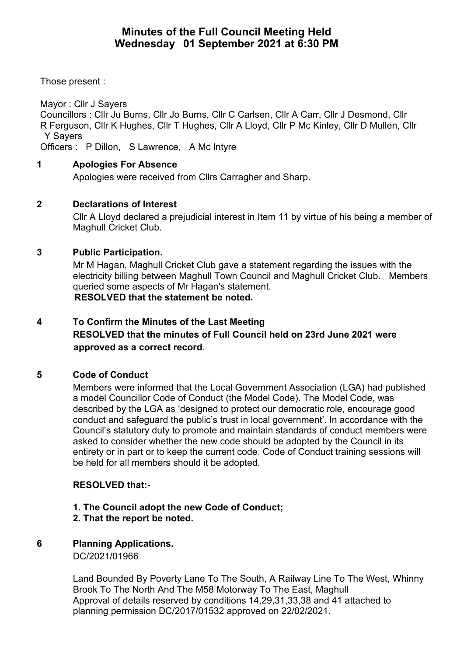## **Minutes of the Full Council Meeting Held Wednesday 01 September 2021 at 6:30 PM**

Those present :

Mayor : Cllr J Sayers

Councillors : Cllr Ju Burns, Cllr Jo Burns, Cllr C Carlsen, Cllr A Carr, Cllr J Desmond, Cllr R Ferguson, Cllr K Hughes, Cllr T Hughes, Cllr A Lloyd, Cllr P Mc Kinley, Cllr D Mullen, Cllr Y Sayers

Officers : P Dillon, S Lawrence, A Mc Intyre

## **1 Apologies For Absence**

Apologies were received from Cllrs Carragher and Sharp.

### **2 Declarations of Interest**

Cllr A Lloyd declared a prejudicial interest in Item 11 by virtue of his being a member of Maghull Cricket Club.

## **3 Public Participation.**

Mr M Hagan, Maghull Cricket Club gave a statement regarding the issues with the electricity billing between Maghull Town Council and Maghull Cricket Club. Members queried some aspects of Mr Hagan's statement. **RESOLVED that the statement be noted.**

## **4 To Confirm the Minutes of the Last Meeting RESOLVED that the minutes of Full Council held on 23rd June 2021 were approved as a correct record**.

## **5 Code of Conduct**

Members were informed that the Local Government Association (LGA) had published a model Councillor Code of Conduct (the Model Code). The Model Code, was described by the LGA as 'designed to protect our democratic role, encourage good conduct and safeguard the public's trust in local government'. In accordance with the Council's statutory duty to promote and maintain standards of conduct members were asked to consider whether the new code should be adopted by the Council in its entirety or in part or to keep the current code. Code of Conduct training sessions will be held for all members should it be adopted.

## **RESOLVED that:-**

#### **1. The Council adopt the new Code of Conduct; 2. That the report be noted.**

**6 Planning Applications.** DC/2021/01966

> Land Bounded By Poverty Lane To The South, A Railway Line To The West, Whinny Brook To The North And The M58 Motorway To The East, Maghull Approval of details reserved by conditions 14,29,31,33,38 and 41 attached to planning permission DC/2017/01532 approved on 22/02/2021.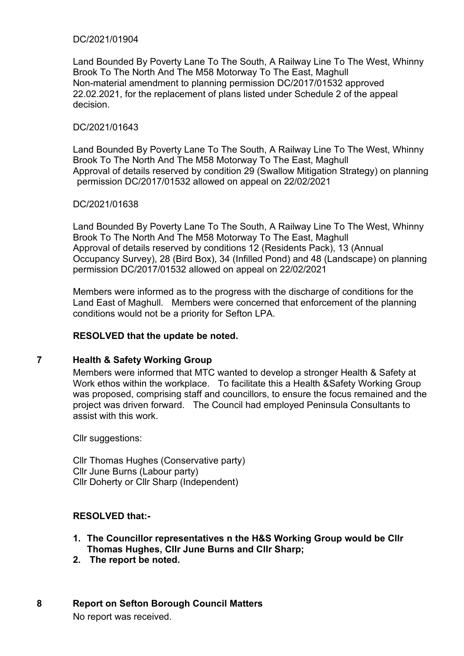#### DC/2021/01904

Land Bounded By Poverty Lane To The South, A Railway Line To The West, Whinny Brook To The North And The M58 Motorway To The East, Maghull Non-material amendment to planning permission DC/2017/01532 approved 22.02.2021, for the replacement of plans listed under Schedule 2 of the appeal decision.

#### DC/2021/01643

Land Bounded By Poverty Lane To The South, A Railway Line To The West, Whinny Brook To The North And The M58 Motorway To The East, Maghull Approval of details reserved by condition 29 (Swallow Mitigation Strategy) on planning permission DC/2017/01532 allowed on appeal on 22/02/2021

#### DC/2021/01638

Land Bounded By Poverty Lane To The South, A Railway Line To The West, Whinny Brook To The North And The M58 Motorway To The East, Maghull Approval of details reserved by conditions 12 (Residents Pack), 13 (Annual Occupancy Survey), 28 (Bird Box), 34 (Infilled Pond) and 48 (Landscape) on planning permission DC/2017/01532 allowed on appeal on 22/02/2021

Members were informed as to the progress with the discharge of conditions for the Land East of Maghull. Members were concerned that enforcement of the planning conditions would not be a priority for Sefton LPA.

#### **RESOLVED that the update be noted.**

#### **7 Health & Safety Working Group**

Members were informed that MTC wanted to develop a stronger Health & Safety at Work ethos within the workplace. To facilitate this a Health &Safety Working Group was proposed, comprising staff and councillors, to ensure the focus remained and the project was driven forward. The Council had employed Peninsula Consultants to assist with this work.

Cllr suggestions:

Cllr Thomas Hughes (Conservative party) Cllr June Burns (Labour party) Cllr Doherty or Cllr Sharp (Independent)

#### **RESOLVED that:-**

- **1. The Councillor representatives n the H&S Working Group would be Cllr Thomas Hughes, Cllr June Burns and Cllr Sharp;**
- **2. The report be noted.**

#### **8 Report on Sefton Borough Council Matters**

No report was received.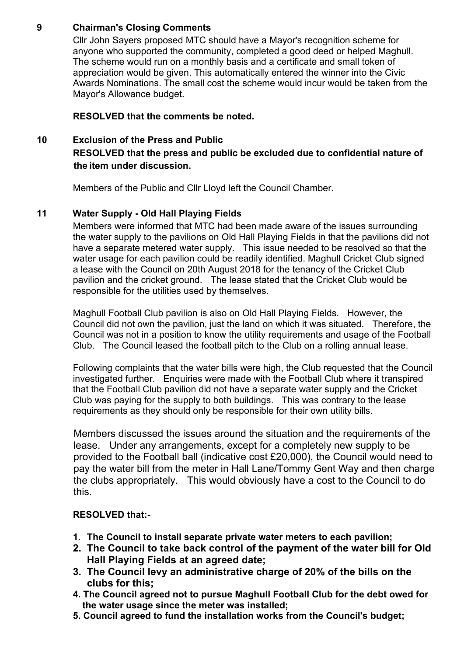## **9 Chairman's Closing Comments**

Cllr John Sayers proposed MTC should have a Mayor's recognition scheme for anyone who supported the community, completed a good deed or helped Maghull. The scheme would run on a monthly basis and a certificate and small token of appreciation would be given. This automatically entered the winner into the Civic Awards Nominations. The small cost the scheme would incur would be taken from the Mayor's Allowance budget.

## **RESOLVED that the comments be noted.**

## **10 Exclusion of the Press and Public RESOLVED that the press and public be excluded due to confidential nature of the item under discussion.**

Members of the Public and Cllr Lloyd left the Council Chamber.

## **11 Water Supply - Old Hall Playing Fields**

Members were informed that MTC had been made aware of the issues surrounding the water supply to the pavilions on Old Hall Playing Fields in that the pavilions did not have a separate metered water supply. This issue needed to be resolved so that the water usage for each pavilion could be readily identified. Maghull Cricket Club signed a lease with the Council on 20th August 2018 for the tenancy of the Cricket Club pavilion and the cricket ground. The lease stated that the Cricket Club would be responsible for the utilities used by themselves.

Maghull Football Club pavilion is also on Old Hall Playing Fields. However, the Council did not own the pavilion, just the land on which it was situated. Therefore, the Council was not in a position to know the utility requirements and usage of the Football Club. The Council leased the football pitch to the Club on a rolling annual lease.

Following complaints that the water bills were high, the Club requested that the Council investigated further. Enquiries were made with the Football Club where it transpired that the Football Club pavilion did not have a separate water supply and the Cricket Club was paying for the supply to both buildings. This was contrary to the lease requirements as they should only be responsible for their own utility bills.

Members discussed the issues around the situation and the requirements of the lease. Under any arrangements, except for a completely new supply to be provided to the Football ball (indicative cost £20,000), the Council would need to pay the water bill from the meter in Hall Lane/Tommy Gent Way and then charge the clubs appropriately. This would obviously have a cost to the Council to do this.

## **RESOLVED that:-**

- **1. The Council to install separate private water meters to each pavilion;**
- **2. The Council to take back control of the payment of the water bill for Old Hall Playing Fields at an agreed date;**
- **3. The Council levy an administrative charge of 20% of the bills on the clubs for this;**
- **4. The Council agreed not to pursue Maghull Football Club for the debt owed for the water usage since the meter was installed;**
- **5. Council agreed to fund the installation works from the Council's budget;**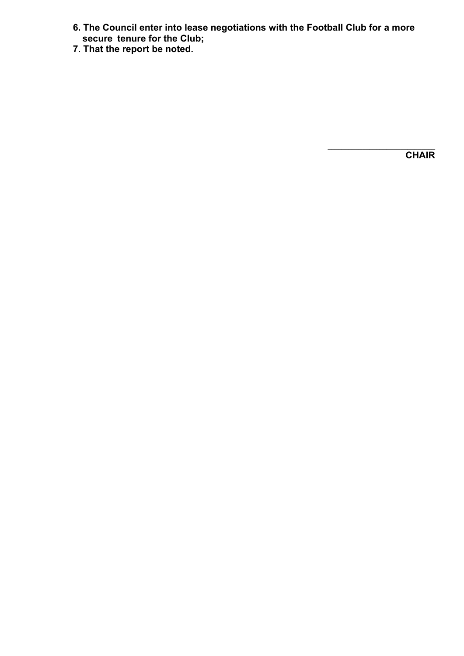- **6. The Council enter into lease negotiations with the Football Club for a more secure tenure for the Club;**
- **7. That the report be noted.**

 $\_$ **CHAIR**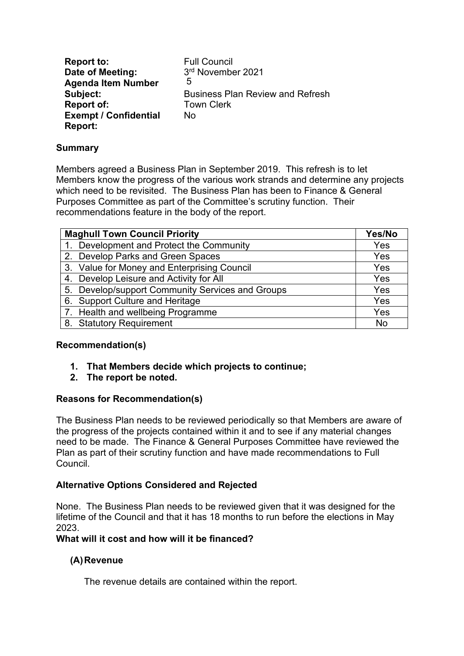**Report to:** Full Council<br> **Date of Meeting:** 3<sup>rd</sup> November 2021 **Date of Meeting: Agenda Item Number Subject:** Business Plan Review and Refresh **Report of:** Town Clerk **Exempt / Confidential Report:** No 5

### **Summary**

Members agreed a Business Plan in September 2019. This refresh is to let Members know the progress of the various work strands and determine any projects which need to be revisited. The Business Plan has been to Finance & General Purposes Committee as part of the Committee's scrutiny function. Their recommendations feature in the body of the report.

| <b>Maghull Town Council Priority</b>             |     |  |  |  |
|--------------------------------------------------|-----|--|--|--|
| 1. Development and Protect the Community         | Yes |  |  |  |
| 2. Develop Parks and Green Spaces                | Yes |  |  |  |
| 3. Value for Money and Enterprising Council      | Yes |  |  |  |
| 4. Develop Leisure and Activity for All          | Yes |  |  |  |
| 5. Develop/support Community Services and Groups | Yes |  |  |  |
| 6. Support Culture and Heritage                  | Yes |  |  |  |
| 7. Health and wellbeing Programme                | Yes |  |  |  |
| 8. Statutory Requirement                         | No  |  |  |  |

## **Recommendation(s)**

- **1. That Members decide which projects to continue;**
- **2. The report be noted.**

#### **Reasons for Recommendation(s)**

The Business Plan needs to be reviewed periodically so that Members are aware of the progress of the projects contained within it and to see if any material changes need to be made. The Finance & General Purposes Committee have reviewed the Plan as part of their scrutiny function and have made recommendations to Full Council.

## **Alternative Options Considered and Rejected**

None. The Business Plan needs to be reviewed given that it was designed for the lifetime of the Council and that it has 18 months to run before the elections in May 2023.

#### **What will it cost and how will it be financed?**

#### **(A)Revenue**

The revenue details are contained within the report.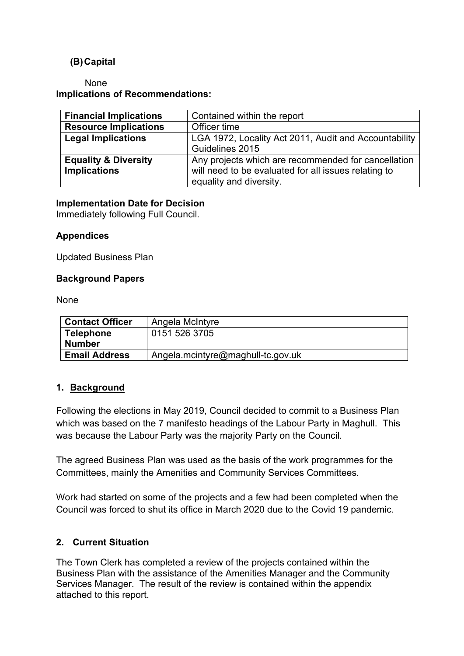## **(B)Capital**

None **Implications of Recommendations:**

| <b>Financial Implications</b>   | Contained within the report                           |
|---------------------------------|-------------------------------------------------------|
| <b>Resource Implications</b>    | Officer time                                          |
| <b>Legal Implications</b>       | LGA 1972, Locality Act 2011, Audit and Accountability |
|                                 | Guidelines 2015                                       |
| <b>Equality &amp; Diversity</b> | Any projects which are recommended for cancellation   |
| <b>Implications</b>             | will need to be evaluated for all issues relating to  |
|                                 | equality and diversity.                               |

#### **Implementation Date for Decision**

Immediately following Full Council.

### **Appendices**

Updated Business Plan

#### **Background Papers**

None

| <b>Contact Officer</b> | Angela McIntyre                   |
|------------------------|-----------------------------------|
| <b>Telephone</b>       | 0151 526 3705                     |
| <b>Number</b>          |                                   |
| <b>Email Address</b>   | Angela.mcintyre@maghull-tc.gov.uk |

## **1. Background**

Following the elections in May 2019, Council decided to commit to a Business Plan which was based on the 7 manifesto headings of the Labour Party in Maghull. This was because the Labour Party was the majority Party on the Council.

The agreed Business Plan was used as the basis of the work programmes for the Committees, mainly the Amenities and Community Services Committees.

Work had started on some of the projects and a few had been completed when the Council was forced to shut its office in March 2020 due to the Covid 19 pandemic.

## **2. Current Situation**

The Town Clerk has completed a review of the projects contained within the Business Plan with the assistance of the Amenities Manager and the Community Services Manager. The result of the review is contained within the appendix attached to this report.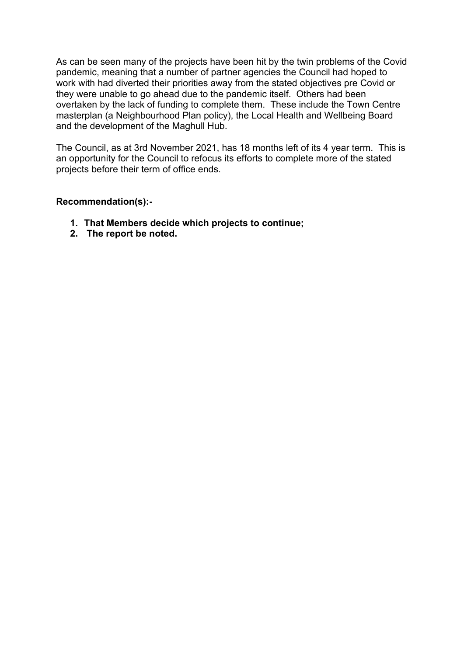As can be seen many of the projects have been hit by the twin problems of the Covid pandemic, meaning that a number of partner agencies the Council had hoped to work with had diverted their priorities away from the stated objectives pre Covid or they were unable to go ahead due to the pandemic itself. Others had been overtaken by the lack of funding to complete them. These include the Town Centre masterplan (a Neighbourhood Plan policy), the Local Health and Wellbeing Board and the development of the Maghull Hub.

The Council, as at 3rd November 2021, has 18 months left of its 4 year term. This is an opportunity for the Council to refocus its efforts to complete more of the stated projects before their term of office ends.

### **Recommendation(s):-**

- **1. That Members decide which projects to continue;**
- **2. The report be noted.**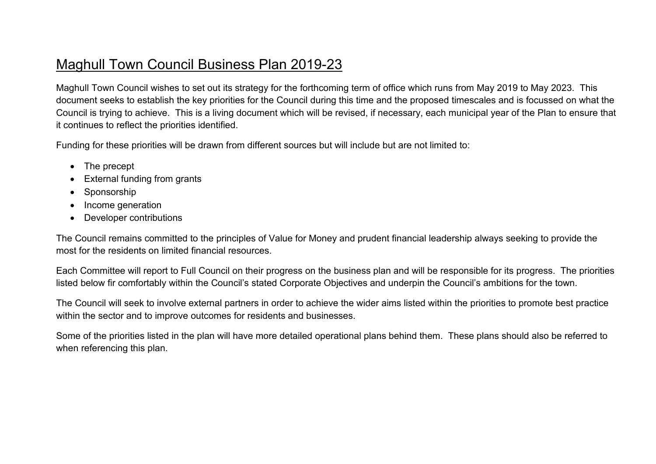## Maghull Town Council Business Plan 2019-23

Maghull Town Council wishes to set out its strategy for the forthcoming term of office which runs from May 2019 to May 2023. This document seeks to establish the key priorities for the Council during this time and the proposed timescales and is focussed on what the Council is trying to achieve. This is a living document which will be revised, if necessary, each municipal year of the Plan to ensure that it continues to reflect the priorities identified.

Funding for these priorities will be drawn from different sources but will include but are not limited to:

- The precept
- External funding from grants
- Sponsorship
- Income generation
- Developer contributions

The Council remains committed to the principles of Value for Money and prudent financial leadership always seeking to provide the most for the residents on limited financial resources.

Each Committee will report to Full Council on their progress on the business plan and will be responsible for its progress. The priorities listed below fir comfortably within the Council's stated Corporate Objectives and underpin the Council's ambitions for the town.

The Council will seek to involve external partners in order to achieve the wider aims listed within the priorities to promote best practice within the sector and to improve outcomes for residents and businesses.

Some of the priorities listed in the plan will have more detailed operational plans behind them. These plans should also be referred to when referencing this plan.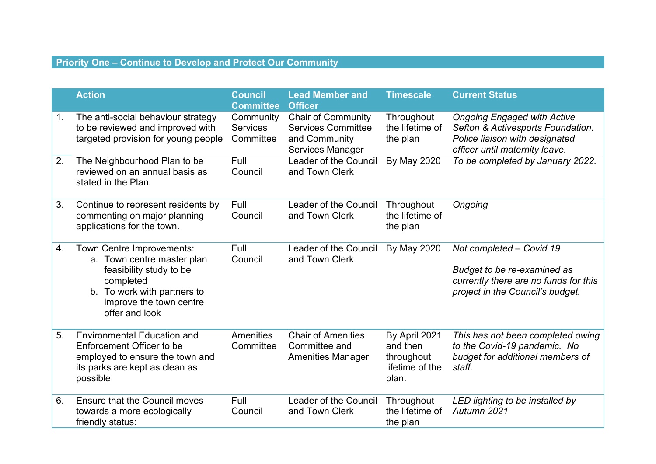## **Priority One – Continue to Develop and Protect Our Community**

|    | <b>Action</b>                                                                                                                                                               | <b>Council</b><br><b>Committee</b>        | <b>Lead Member and</b><br><b>Officer</b>                                                           | <b>Timescale</b>                                                    | <b>Current Status</b>                                                                                                                       |
|----|-----------------------------------------------------------------------------------------------------------------------------------------------------------------------------|-------------------------------------------|----------------------------------------------------------------------------------------------------|---------------------------------------------------------------------|---------------------------------------------------------------------------------------------------------------------------------------------|
| 1. | The anti-social behaviour strategy<br>to be reviewed and improved with<br>targeted provision for young people                                                               | Community<br><b>Services</b><br>Committee | <b>Chair of Community</b><br><b>Services Committee</b><br>and Community<br><b>Services Manager</b> | Throughout<br>the lifetime of<br>the plan                           | <b>Ongoing Engaged with Active</b><br>Sefton & Activesports Foundation.<br>Police liaison with designated<br>officer until maternity leave. |
| 2. | The Neighbourhood Plan to be<br>reviewed on an annual basis as<br>stated in the Plan.                                                                                       | Full<br>Council                           | Leader of the Council<br>and Town Clerk                                                            | <b>By May 2020</b>                                                  | To be completed by January 2022.                                                                                                            |
| 3. | Continue to represent residents by<br>commenting on major planning<br>applications for the town.                                                                            | Full<br>Council                           | Leader of the Council<br>and Town Clerk                                                            | Throughout<br>the lifetime of<br>the plan                           | Ongoing                                                                                                                                     |
| 4. | Town Centre Improvements:<br>a. Town centre master plan<br>feasibility study to be<br>completed<br>b. To work with partners to<br>improve the town centre<br>offer and look | Full<br>Council                           | Leader of the Council<br>and Town Clerk                                                            | By May 2020                                                         | Not completed - Covid 19<br>Budget to be re-examined as<br>currently there are no funds for this<br>project in the Council's budget.        |
| 5. | <b>Environmental Education and</b><br>Enforcement Officer to be<br>employed to ensure the town and<br>its parks are kept as clean as<br>possible                            | <b>Amenities</b><br>Committee             | <b>Chair of Amenities</b><br>Committee and<br><b>Amenities Manager</b>                             | By April 2021<br>and then<br>throughout<br>lifetime of the<br>plan. | This has not been completed owing<br>to the Covid-19 pandemic. No<br>budget for additional members of<br>staff.                             |
| 6. | <b>Ensure that the Council moves</b><br>towards a more ecologically<br>friendly status:                                                                                     | Full<br>Council                           | Leader of the Council<br>and Town Clerk                                                            | Throughout<br>the lifetime of<br>the plan                           | LED lighting to be installed by<br>Autumn 2021                                                                                              |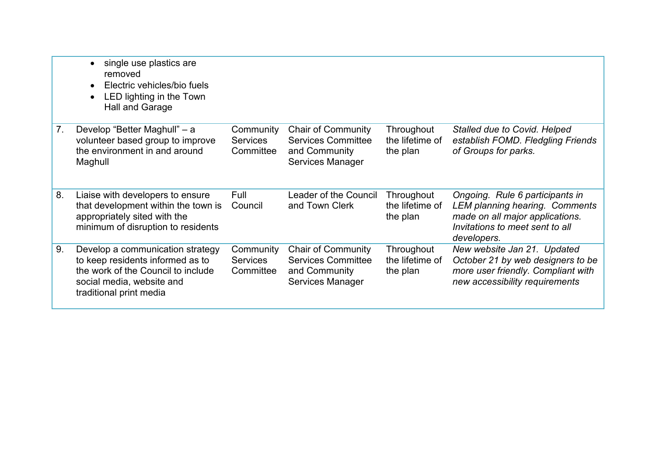|    | single use plastics are<br>$\bullet$<br>removed<br>Electric vehicles/bio fuels<br>$\bullet$<br>LED lighting in the Town<br>$\bullet$<br><b>Hall and Garage</b>     |                                           |                                                                                             |                                           |                                                                                                                                                               |
|----|--------------------------------------------------------------------------------------------------------------------------------------------------------------------|-------------------------------------------|---------------------------------------------------------------------------------------------|-------------------------------------------|---------------------------------------------------------------------------------------------------------------------------------------------------------------|
| 7. | Develop "Better Maghull" - a<br>volunteer based group to improve<br>the environment in and around<br>Maghull                                                       | Community<br><b>Services</b><br>Committee | <b>Chair of Community</b><br><b>Services Committee</b><br>and Community<br>Services Manager | Throughout<br>the lifetime of<br>the plan | Stalled due to Covid. Helped<br>establish FOMD. Fledgling Friends<br>of Groups for parks.                                                                     |
| 8. | Liaise with developers to ensure<br>that development within the town is<br>appropriately sited with the<br>minimum of disruption to residents                      | Full<br>Council                           | Leader of the Council<br>and Town Clerk                                                     | Throughout<br>the lifetime of<br>the plan | Ongoing. Rule 6 participants in<br><b>LEM planning hearing. Comments</b><br>made on all major applications.<br>Invitations to meet sent to all<br>developers. |
| 9. | Develop a communication strategy<br>to keep residents informed as to<br>the work of the Council to include<br>social media, website and<br>traditional print media | Community<br><b>Services</b><br>Committee | <b>Chair of Community</b><br><b>Services Committee</b><br>and Community<br>Services Manager | Throughout<br>the lifetime of<br>the plan | New website Jan 21. Updated<br>October 21 by web designers to be<br>more user friendly. Compliant with<br>new accessibility requirements                      |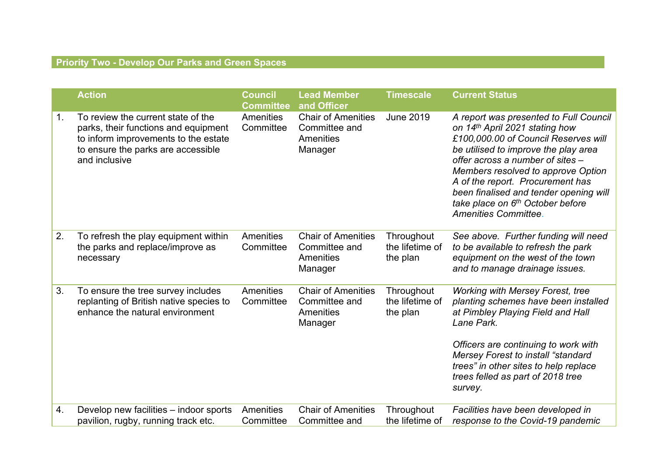## **Priority Two - Develop Our Parks and Green Spaces**

|    | <b>Action</b>                                                                                                                                                             | <b>Council</b><br><b>Committee</b> | <b>Lead Member</b><br>and Officer                                  | <b>Timescale</b>                          | <b>Current Status</b>                                                                                                                                                                                                                                                                                                                                                               |
|----|---------------------------------------------------------------------------------------------------------------------------------------------------------------------------|------------------------------------|--------------------------------------------------------------------|-------------------------------------------|-------------------------------------------------------------------------------------------------------------------------------------------------------------------------------------------------------------------------------------------------------------------------------------------------------------------------------------------------------------------------------------|
| 1. | To review the current state of the<br>parks, their functions and equipment<br>to inform improvements to the estate<br>to ensure the parks are accessible<br>and inclusive | <b>Amenities</b><br>Committee      | <b>Chair of Amenities</b><br>Committee and<br>Amenities<br>Manager | <b>June 2019</b>                          | A report was presented to Full Council<br>on 14th April 2021 stating how<br>£100,000.00 of Council Reserves will<br>be utilised to improve the play area<br>offer across a number of sites -<br>Members resolved to approve Option<br>A of the report. Procurement has<br>been finalised and tender opening will<br>take place on 6th October before<br><b>Amenities Committee.</b> |
| 2. | To refresh the play equipment within<br>the parks and replace/improve as<br>necessary                                                                                     | <b>Amenities</b><br>Committee      | <b>Chair of Amenities</b><br>Committee and<br>Amenities<br>Manager | Throughout<br>the lifetime of<br>the plan | See above. Further funding will need<br>to be available to refresh the park<br>equipment on the west of the town<br>and to manage drainage issues.                                                                                                                                                                                                                                  |
| 3. | To ensure the tree survey includes<br>replanting of British native species to<br>enhance the natural environment                                                          | Amenities<br>Committee             | <b>Chair of Amenities</b><br>Committee and<br>Amenities<br>Manager | Throughout<br>the lifetime of<br>the plan | <b>Working with Mersey Forest, tree</b><br>planting schemes have been installed<br>at Pimbley Playing Field and Hall<br>Lane Park.<br>Officers are continuing to work with<br>Mersey Forest to install "standard<br>trees" in other sites to help replace<br>trees felled as part of 2018 tree<br>survey.                                                                           |
|    |                                                                                                                                                                           |                                    |                                                                    |                                           |                                                                                                                                                                                                                                                                                                                                                                                     |
| 4. | Develop new facilities - indoor sports<br>pavilion, rugby, running track etc.                                                                                             | Amenities<br>Committee             | <b>Chair of Amenities</b><br>Committee and                         | Throughout<br>the lifetime of             | Facilities have been developed in<br>response to the Covid-19 pandemic                                                                                                                                                                                                                                                                                                              |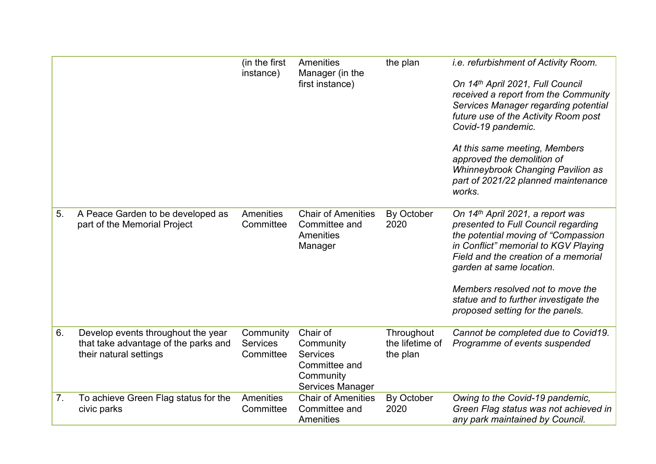|    |                                                                                                      | (in the first<br>instance)                | Amenities<br>Manager (in the<br>first instance)                                            | the plan                                  | <i>i.e.</i> refurbishment of Activity Room.<br>On 14th April 2021, Full Council<br>received a report from the Community<br>Services Manager regarding potential<br>future use of the Activity Room post<br>Covid-19 pandemic.<br>At this same meeting, Members<br>approved the demolition of<br><b>Whinneybrook Changing Pavilion as</b><br>part of 2021/22 planned maintenance<br>works. |
|----|------------------------------------------------------------------------------------------------------|-------------------------------------------|--------------------------------------------------------------------------------------------|-------------------------------------------|-------------------------------------------------------------------------------------------------------------------------------------------------------------------------------------------------------------------------------------------------------------------------------------------------------------------------------------------------------------------------------------------|
| 5. | A Peace Garden to be developed as<br>part of the Memorial Project                                    | Amenities<br>Committee                    | <b>Chair of Amenities</b><br>Committee and<br>Amenities<br>Manager                         | By October<br>2020                        | On 14th April 2021, a report was<br>presented to Full Council regarding<br>the potential moving of "Compassion<br>in Conflict" memorial to KGV Playing<br>Field and the creation of a memorial<br>garden at same location.<br>Members resolved not to move the<br>statue and to further investigate the<br>proposed setting for the panels.                                               |
| 6. | Develop events throughout the year<br>that take advantage of the parks and<br>their natural settings | Community<br><b>Services</b><br>Committee | Chair of<br>Community<br><b>Services</b><br>Committee and<br>Community<br>Services Manager | Throughout<br>the lifetime of<br>the plan | Cannot be completed due to Covid19.<br>Programme of events suspended                                                                                                                                                                                                                                                                                                                      |
| 7. | To achieve Green Flag status for the<br>civic parks                                                  | Amenities<br>Committee                    | <b>Chair of Amenities</b><br>Committee and<br>Amenities                                    | By October<br>2020                        | Owing to the Covid-19 pandemic,<br>Green Flag status was not achieved in<br>any park maintained by Council.                                                                                                                                                                                                                                                                               |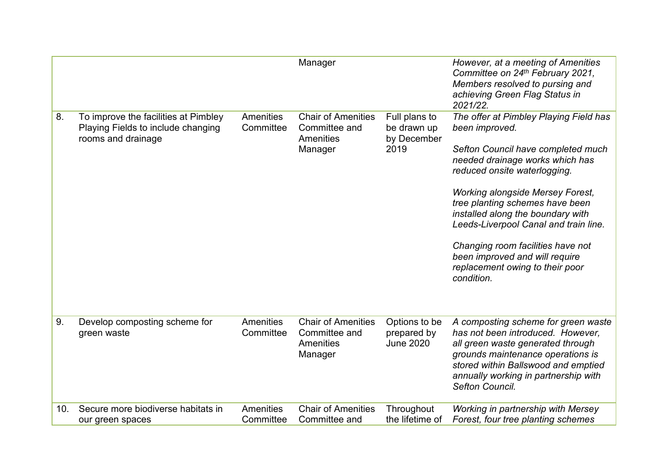|                 |                                                                                                  |                        | Manager                                                            |                                                     | However, at a meeting of Amenities<br>Committee on 24th February 2021,<br>Members resolved to pursing and<br>achieving Green Flag Status in<br>2021/22.                                                                                                                                                                                                                                                                                               |
|-----------------|--------------------------------------------------------------------------------------------------|------------------------|--------------------------------------------------------------------|-----------------------------------------------------|-------------------------------------------------------------------------------------------------------------------------------------------------------------------------------------------------------------------------------------------------------------------------------------------------------------------------------------------------------------------------------------------------------------------------------------------------------|
| 8.              | To improve the facilities at Pimbley<br>Playing Fields to include changing<br>rooms and drainage | Amenities<br>Committee | <b>Chair of Amenities</b><br>Committee and<br>Amenities<br>Manager | Full plans to<br>be drawn up<br>by December<br>2019 | The offer at Pimbley Playing Field has<br>been improved.<br>Sefton Council have completed much<br>needed drainage works which has<br>reduced onsite waterlogging.<br><b>Working alongside Mersey Forest,</b><br>tree planting schemes have been<br>installed along the boundary with<br>Leeds-Liverpool Canal and train line.<br>Changing room facilities have not<br>been improved and will require<br>replacement owing to their poor<br>condition. |
| 9.              | Develop composting scheme for<br>green waste                                                     | Amenities<br>Committee | <b>Chair of Amenities</b><br>Committee and<br>Amenities<br>Manager | Options to be<br>prepared by<br><b>June 2020</b>    | A composting scheme for green waste<br>has not been introduced. However,<br>all green waste generated through<br>grounds maintenance operations is<br>stored within Ballswood and emptied<br>annually working in partnership with<br>Sefton Council.                                                                                                                                                                                                  |
| 10 <sub>1</sub> | Secure more biodiverse habitats in<br>our green spaces                                           | Amenities<br>Committee | <b>Chair of Amenities</b><br>Committee and                         | Throughout<br>the lifetime of                       | Working in partnership with Mersey<br>Forest, four tree planting schemes                                                                                                                                                                                                                                                                                                                                                                              |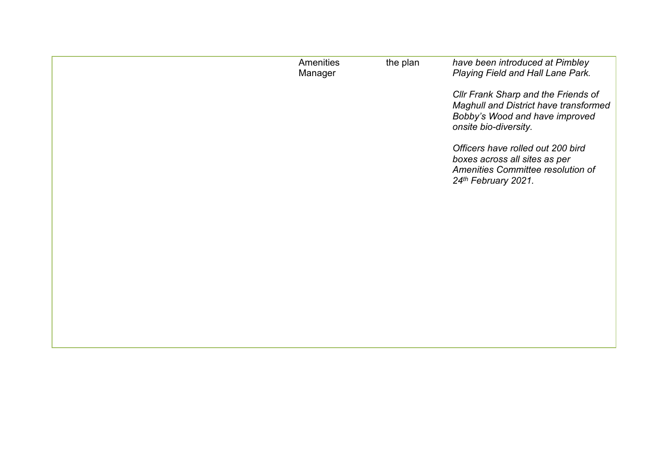| Amenities<br>Manager | the plan | have been introduced at Pimbley<br>Playing Field and Hall Lane Park.                                                                    |
|----------------------|----------|-----------------------------------------------------------------------------------------------------------------------------------------|
|                      |          | Cllr Frank Sharp and the Friends of<br>Maghull and District have transformed<br>Bobby's Wood and have improved<br>onsite bio-diversity. |
|                      |          | Officers have rolled out 200 bird<br>boxes across all sites as per<br>Amenities Committee resolution of<br>24th February 2021.          |
|                      |          |                                                                                                                                         |
|                      |          |                                                                                                                                         |
|                      |          |                                                                                                                                         |
|                      |          |                                                                                                                                         |
|                      |          |                                                                                                                                         |
|                      |          |                                                                                                                                         |
|                      |          |                                                                                                                                         |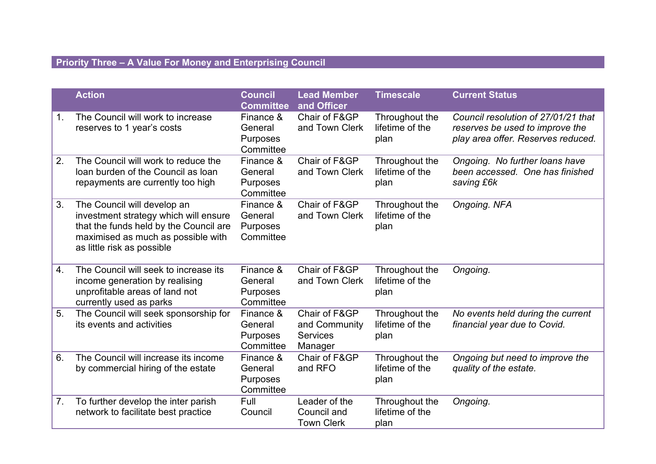## **Priority Three – A Value For Money and Enterprising Council**

|    | <b>Action</b>                                                                                                                                                                      | <b>Council</b><br><b>Committee</b>                   | <b>Lead Member</b><br>and Officer                            | <b>Timescale</b>                          | <b>Current Status</b>                                                                                        |
|----|------------------------------------------------------------------------------------------------------------------------------------------------------------------------------------|------------------------------------------------------|--------------------------------------------------------------|-------------------------------------------|--------------------------------------------------------------------------------------------------------------|
| 1. | The Council will work to increase<br>reserves to 1 year's costs                                                                                                                    | Finance &<br>General<br><b>Purposes</b><br>Committee | Chair of F&GP<br>and Town Clerk                              | Throughout the<br>lifetime of the<br>plan | Council resolution of 27/01/21 that<br>reserves be used to improve the<br>play area offer. Reserves reduced. |
| 2. | The Council will work to reduce the<br>loan burden of the Council as loan<br>repayments are currently too high                                                                     | Finance &<br>General<br><b>Purposes</b><br>Committee | Chair of F&GP<br>and Town Clerk                              | Throughout the<br>lifetime of the<br>plan | Ongoing. No further loans have<br>been accessed. One has finished<br>saving £6k                              |
| 3. | The Council will develop an<br>investment strategy which will ensure<br>that the funds held by the Council are<br>maximised as much as possible with<br>as little risk as possible | Finance &<br>General<br>Purposes<br>Committee        | Chair of F&GP<br>and Town Clerk                              | Throughout the<br>lifetime of the<br>plan | Ongoing. NFA                                                                                                 |
| 4. | The Council will seek to increase its<br>income generation by realising<br>unprofitable areas of land not<br>currently used as parks                                               | Finance &<br>General<br>Purposes<br>Committee        | Chair of F&GP<br>and Town Clerk                              | Throughout the<br>lifetime of the<br>plan | Ongoing.                                                                                                     |
| 5. | The Council will seek sponsorship for<br>its events and activities                                                                                                                 | Finance &<br>General<br>Purposes<br>Committee        | Chair of F&GP<br>and Community<br><b>Services</b><br>Manager | Throughout the<br>lifetime of the<br>plan | No events held during the current<br>financial year due to Covid.                                            |
| 6. | The Council will increase its income<br>by commercial hiring of the estate                                                                                                         | Finance &<br>General<br>Purposes<br>Committee        | Chair of F&GP<br>and RFO                                     | Throughout the<br>lifetime of the<br>plan | Ongoing but need to improve the<br>quality of the estate.                                                    |
| 7. | To further develop the inter parish<br>network to facilitate best practice                                                                                                         | Full<br>Council                                      | Leader of the<br>Council and<br><b>Town Clerk</b>            | Throughout the<br>lifetime of the<br>plan | Ongoing.                                                                                                     |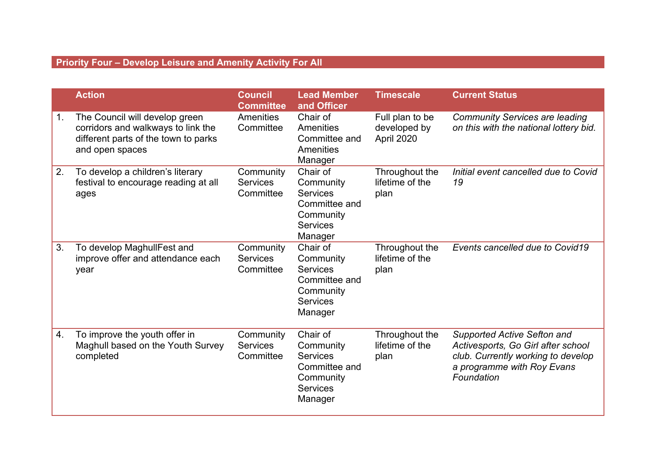## **Priority Four – Develop Leisure and Amenity Activity For All**

|                | <b>Action</b>                                                                                                                   | <b>Council</b><br><b>Committee</b>        | <b>Lead Member</b><br>and Officer                                                                    | <b>Timescale</b>                              | <b>Current Status</b>                                                                                                                               |
|----------------|---------------------------------------------------------------------------------------------------------------------------------|-------------------------------------------|------------------------------------------------------------------------------------------------------|-----------------------------------------------|-----------------------------------------------------------------------------------------------------------------------------------------------------|
| 1 <sub>1</sub> | The Council will develop green<br>corridors and walkways to link the<br>different parts of the town to parks<br>and open spaces | <b>Amenities</b><br>Committee             | Chair of<br>Amenities<br>Committee and<br>Amenities<br>Manager                                       | Full plan to be<br>developed by<br>April 2020 | <b>Community Services are leading</b><br>on this with the national lottery bid.                                                                     |
| 2.             | To develop a children's literary<br>festival to encourage reading at all<br>ages                                                | Community<br><b>Services</b><br>Committee | Chair of<br>Community<br><b>Services</b><br>Committee and<br>Community<br><b>Services</b><br>Manager | Throughout the<br>lifetime of the<br>plan     | Initial event cancelled due to Covid<br>19                                                                                                          |
| 3.             | To develop MaghullFest and<br>improve offer and attendance each<br>year                                                         | Community<br><b>Services</b><br>Committee | Chair of<br>Community<br><b>Services</b><br>Committee and<br>Community<br><b>Services</b><br>Manager | Throughout the<br>lifetime of the<br>plan     | Events cancelled due to Covid19                                                                                                                     |
| 4.             | To improve the youth offer in<br>Maghull based on the Youth Survey<br>completed                                                 | Community<br><b>Services</b><br>Committee | Chair of<br>Community<br><b>Services</b><br>Committee and<br>Community<br><b>Services</b><br>Manager | Throughout the<br>lifetime of the<br>plan     | Supported Active Sefton and<br>Activesports, Go Girl after school<br>club. Currently working to develop<br>a programme with Roy Evans<br>Foundation |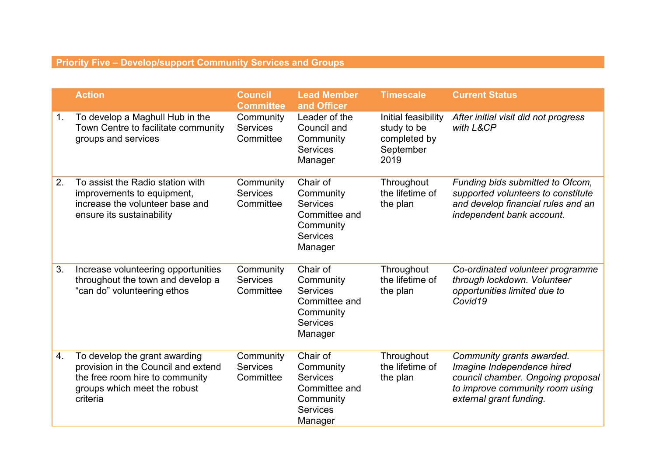## **Priority Five – Develop/support Community Services and Groups**

|                  | <b>Action</b>                                                                                                                                       | <b>Council</b><br><b>Committee</b>        | <b>Lead Member</b><br>and Officer                                                                    | <b>Timescale</b>                                                        | <b>Current Status</b>                                                                                                                                      |
|------------------|-----------------------------------------------------------------------------------------------------------------------------------------------------|-------------------------------------------|------------------------------------------------------------------------------------------------------|-------------------------------------------------------------------------|------------------------------------------------------------------------------------------------------------------------------------------------------------|
| 1.               | To develop a Maghull Hub in the<br>Town Centre to facilitate community<br>groups and services                                                       | Community<br><b>Services</b><br>Committee | Leader of the<br>Council and<br>Community<br><b>Services</b><br>Manager                              | Initial feasibility<br>study to be<br>completed by<br>September<br>2019 | After initial visit did not progress<br>with L&CP                                                                                                          |
| 2.               | To assist the Radio station with<br>improvements to equipment,<br>increase the volunteer base and<br>ensure its sustainability                      | Community<br><b>Services</b><br>Committee | Chair of<br>Community<br><b>Services</b><br>Committee and<br>Community<br><b>Services</b><br>Manager | Throughout<br>the lifetime of<br>the plan                               | Funding bids submitted to Ofcom,<br>supported volunteers to constitute<br>and develop financial rules and an<br>independent bank account.                  |
| 3.               | Increase volunteering opportunities<br>throughout the town and develop a<br>"can do" volunteering ethos                                             | Community<br><b>Services</b><br>Committee | Chair of<br>Community<br><b>Services</b><br>Committee and<br>Community<br><b>Services</b><br>Manager | Throughout<br>the lifetime of<br>the plan                               | Co-ordinated volunteer programme<br>through lockdown. Volunteer<br>opportunities limited due to<br>Covid19                                                 |
| $\overline{4}$ . | To develop the grant awarding<br>provision in the Council and extend<br>the free room hire to community<br>groups which meet the robust<br>criteria | Community<br><b>Services</b><br>Committee | Chair of<br>Community<br><b>Services</b><br>Committee and<br>Community<br><b>Services</b><br>Manager | Throughout<br>the lifetime of<br>the plan                               | Community grants awarded.<br>Imagine Independence hired<br>council chamber. Ongoing proposal<br>to improve community room using<br>external grant funding. |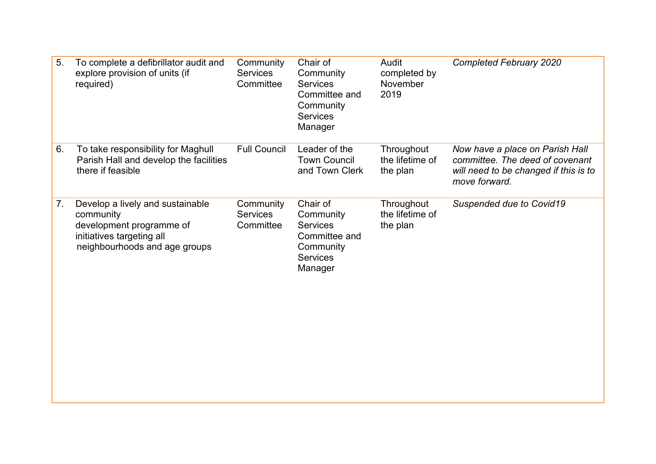| 5. | To complete a defibrillator audit and<br>explore provision of units (if<br>required)                                                    | Community<br><b>Services</b><br>Committee | Chair of<br>Community<br><b>Services</b><br>Committee and<br>Community<br><b>Services</b><br>Manager | Audit<br>completed by<br>November<br>2019 | <b>Completed February 2020</b>                                                                                               |
|----|-----------------------------------------------------------------------------------------------------------------------------------------|-------------------------------------------|------------------------------------------------------------------------------------------------------|-------------------------------------------|------------------------------------------------------------------------------------------------------------------------------|
| 6. | To take responsibility for Maghull<br>Parish Hall and develop the facilities<br>there if feasible                                       | <b>Full Council</b>                       | Leader of the<br><b>Town Council</b><br>and Town Clerk                                               | Throughout<br>the lifetime of<br>the plan | Now have a place on Parish Hall<br>committee. The deed of covenant<br>will need to be changed if this is to<br>move forward. |
| 7. | Develop a lively and sustainable<br>community<br>development programme of<br>initiatives targeting all<br>neighbourhoods and age groups | Community<br><b>Services</b><br>Committee | Chair of<br>Community<br><b>Services</b><br>Committee and<br>Community<br><b>Services</b><br>Manager | Throughout<br>the lifetime of<br>the plan | Suspended due to Covid19                                                                                                     |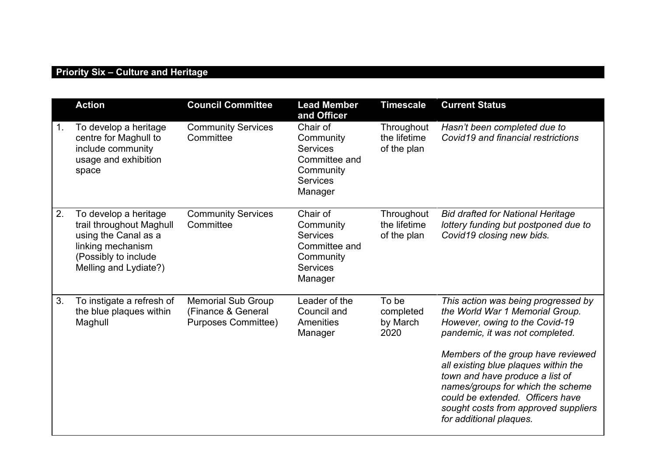## **Priority Six – Culture and Heritage**

|                | <b>Action</b>                                                                                                                                   | <b>Council Committee</b>                                                      | <b>Lead Member</b><br>and Officer                                                                    | <b>Timescale</b>                          | <b>Current Status</b>                                                                                                                                                                                                                                                                                                                                                                                    |
|----------------|-------------------------------------------------------------------------------------------------------------------------------------------------|-------------------------------------------------------------------------------|------------------------------------------------------------------------------------------------------|-------------------------------------------|----------------------------------------------------------------------------------------------------------------------------------------------------------------------------------------------------------------------------------------------------------------------------------------------------------------------------------------------------------------------------------------------------------|
| 1 <sub>1</sub> | To develop a heritage<br>centre for Maghull to<br>include community<br>usage and exhibition<br>space                                            | <b>Community Services</b><br>Committee                                        | Chair of<br>Community<br><b>Services</b><br>Committee and<br>Community<br><b>Services</b><br>Manager | Throughout<br>the lifetime<br>of the plan | Hasn't been completed due to<br>Covid19 and financial restrictions                                                                                                                                                                                                                                                                                                                                       |
| 2.             | To develop a heritage<br>trail throughout Maghull<br>using the Canal as a<br>linking mechanism<br>(Possibly to include<br>Melling and Lydiate?) | <b>Community Services</b><br>Committee                                        | Chair of<br>Community<br><b>Services</b><br>Committee and<br>Community<br><b>Services</b><br>Manager | Throughout<br>the lifetime<br>of the plan | <b>Bid drafted for National Heritage</b><br>lottery funding but postponed due to<br>Covid19 closing new bids.                                                                                                                                                                                                                                                                                            |
| 3.             | To instigate a refresh of<br>the blue plaques within<br>Maghull                                                                                 | <b>Memorial Sub Group</b><br>(Finance & General<br><b>Purposes Committee)</b> | Leader of the<br>Council and<br>Amenities<br>Manager                                                 | To be<br>completed<br>by March<br>2020    | This action was being progressed by<br>the World War 1 Memorial Group.<br>However, owing to the Covid-19<br>pandemic, it was not completed.<br>Members of the group have reviewed<br>all existing blue plaques within the<br>town and have produce a list of<br>names/groups for which the scheme<br>could be extended. Officers have<br>sought costs from approved suppliers<br>for additional plaques. |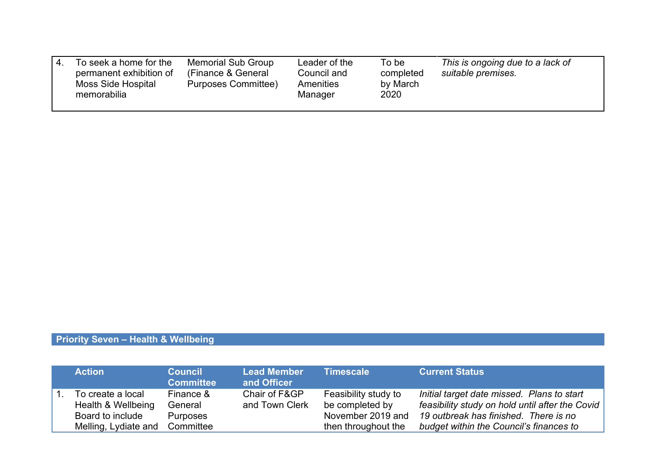| To seek a home for the<br>permanent exhibition of<br>Moss Side Hospital<br>memorabilia | <b>Memorial Sub Group</b><br>(Finance & General<br>Purposes Committee) | Leader of the<br>Council and<br>Amenities<br>Manager | To be<br>completed<br>by March<br>2020 | This is ongoing due to a lack of<br>suitable premises. |
|----------------------------------------------------------------------------------------|------------------------------------------------------------------------|------------------------------------------------------|----------------------------------------|--------------------------------------------------------|
|----------------------------------------------------------------------------------------|------------------------------------------------------------------------|------------------------------------------------------|----------------------------------------|--------------------------------------------------------|

## **Priority Seven – Health & Wellbeing**

| <b>Action</b>                                                                       | <b>Council</b><br><b>Committee</b>                   | <b>Lead Member</b><br>and Officer | <b>Timescale</b>                                                                    | <b>Current Status</b>                                                                                                                                                             |
|-------------------------------------------------------------------------------------|------------------------------------------------------|-----------------------------------|-------------------------------------------------------------------------------------|-----------------------------------------------------------------------------------------------------------------------------------------------------------------------------------|
| To create a local<br>Health & Wellbeing<br>Board to include<br>Melling, Lydiate and | Finance &<br>General<br><b>Purposes</b><br>Committee | Chair of F&GP<br>and Town Clerk   | Feasibility study to<br>be completed by<br>November 2019 and<br>then throughout the | Initial target date missed. Plans to start<br>feasibility study on hold until after the Covid<br>19 outbreak has finished. There is no<br>budget within the Council's finances to |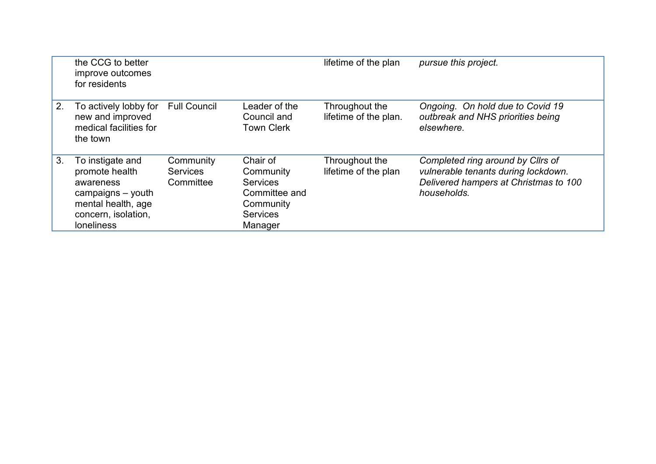|    | the CCG to better<br>improve outcomes<br>for residents                                                                                 |                                           |                                                                                                      | lifetime of the plan                    | pursue this project.                                                                                                             |
|----|----------------------------------------------------------------------------------------------------------------------------------------|-------------------------------------------|------------------------------------------------------------------------------------------------------|-----------------------------------------|----------------------------------------------------------------------------------------------------------------------------------|
| 2. | To actively lobby for<br>new and improved<br>medical facilities for<br>the town                                                        | <b>Full Council</b>                       | Leader of the<br>Council and<br><b>Town Clerk</b>                                                    | Throughout the<br>lifetime of the plan. | Ongoing. On hold due to Covid 19<br>outbreak and NHS priorities being<br>elsewhere.                                              |
| 3. | To instigate and<br>promote health<br>awareness<br>campaigns - youth<br>mental health, age<br>concern, isolation,<br><b>loneliness</b> | Community<br><b>Services</b><br>Committee | Chair of<br>Community<br><b>Services</b><br>Committee and<br>Community<br><b>Services</b><br>Manager | Throughout the<br>lifetime of the plan  | Completed ring around by Cllrs of<br>vulnerable tenants during lockdown.<br>Delivered hampers at Christmas to 100<br>households. |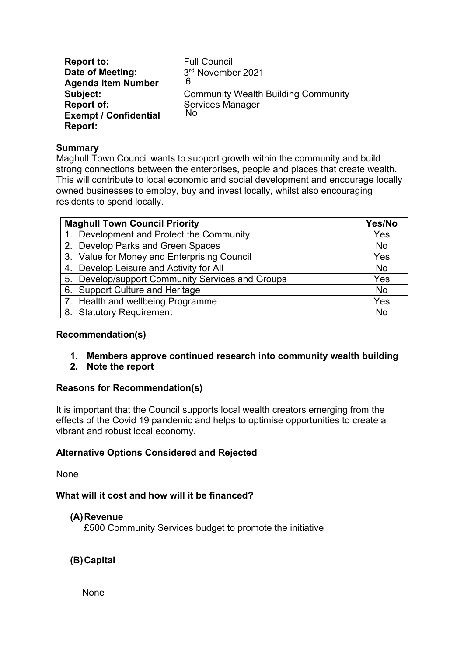**Report to: Date of Meeting: Agenda Item Number Subject: Report of: Exempt / Confidential Report:** Full Council 3 rd November 2021 Community Wealth Building Community Services Manager 6 No

#### **Summary**

Maghull Town Council wants to support growth within the community and build strong connections between the enterprises, people and places that create wealth. This will contribute to local economic and social development and encourage locally owned businesses to employ, buy and invest locally, whilst also encouraging residents to spend locally.

| <b>Maghull Town Council Priority</b>             |           |
|--------------------------------------------------|-----------|
| 1. Development and Protect the Community         | Yes       |
| 2. Develop Parks and Green Spaces                | <b>No</b> |
| 3. Value for Money and Enterprising Council      | Yes       |
| 4. Develop Leisure and Activity for All          | <b>No</b> |
| 5. Develop/support Community Services and Groups | Yes       |
| 6. Support Culture and Heritage                  | <b>No</b> |
| 7. Health and wellbeing Programme                | Yes       |
| 8. Statutory Requirement                         | <b>No</b> |

#### **Recommendation(s)**

- **1. Members approve continued research into community wealth building**
- **2. Note the report**

#### **Reasons for Recommendation(s)**

It is important that the Council supports local wealth creators emerging from the effects of the Covid 19 pandemic and helps to optimise opportunities to create a vibrant and robust local economy.

#### **Alternative Options Considered and Rejected**

None

### **What will it cost and how will it be financed?**

#### **(A)Revenue**

£500 Community Services budget to promote the initiative

## **(B)Capital**

None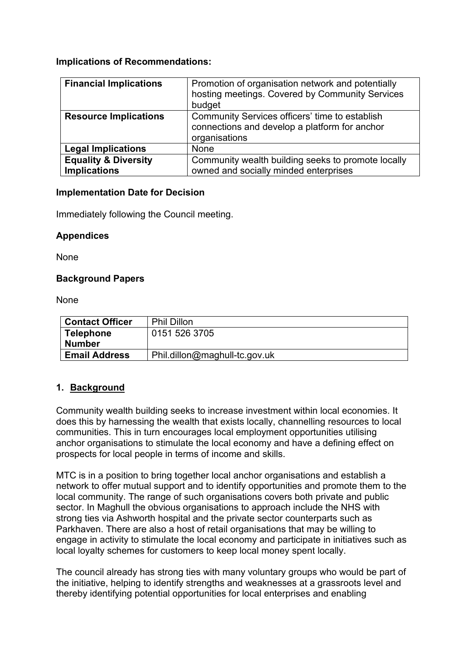## **Implications of Recommendations:**

| <b>Financial Implications</b>   | Promotion of organisation network and potentially<br>hosting meetings. Covered by Community Services<br>budget   |
|---------------------------------|------------------------------------------------------------------------------------------------------------------|
| <b>Resource Implications</b>    | Community Services officers' time to establish<br>connections and develop a platform for anchor<br>organisations |
| <b>Legal Implications</b>       | None                                                                                                             |
| <b>Equality &amp; Diversity</b> | Community wealth building seeks to promote locally                                                               |
| <b>Implications</b>             | owned and socially minded enterprises                                                                            |

#### **Implementation Date for Decision**

Immediately following the Council meeting.

### **Appendices**

None

### **Background Papers**

None

| <b>Contact Officer</b> | <b>Phil Dillon</b>            |
|------------------------|-------------------------------|
| <b>Telephone</b>       | 0151 526 3705                 |
| <b>Number</b>          |                               |
| <b>Email Address</b>   | Phil.dillon@maghull-tc.gov.uk |

## **1. Background**

Community wealth building seeks to increase investment within local economies. It does this by harnessing the wealth that exists locally, channelling resources to local communities. This in turn encourages local employment opportunities utilising anchor organisations to stimulate the local economy and have a defining effect on prospects for local people in terms of income and skills.

MTC is in a position to bring together local anchor organisations and establish a network to offer mutual support and to identify opportunities and promote them to the local community. The range of such organisations covers both private and public sector. In Maghull the obvious organisations to approach include the NHS with strong ties via Ashworth hospital and the private sector counterparts such as Parkhaven. There are also a host of retail organisations that may be willing to engage in activity to stimulate the local economy and participate in initiatives such as local loyalty schemes for customers to keep local money spent locally.

The council already has strong ties with many voluntary groups who would be part of the initiative, helping to identify strengths and weaknesses at a grassroots level and thereby identifying potential opportunities for local enterprises and enabling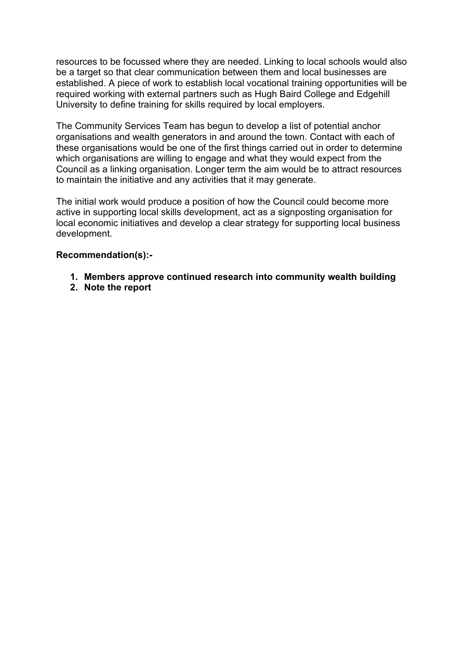resources to be focussed where they are needed. Linking to local schools would also be a target so that clear communication between them and local businesses are established. A piece of work to establish local vocational training opportunities will be required working with external partners such as Hugh Baird College and Edgehill University to define training for skills required by local employers.

The Community Services Team has begun to develop a list of potential anchor organisations and wealth generators in and around the town. Contact with each of these organisations would be one of the first things carried out in order to determine which organisations are willing to engage and what they would expect from the Council as a linking organisation. Longer term the aim would be to attract resources to maintain the initiative and any activities that it may generate.

The initial work would produce a position of how the Council could become more active in supporting local skills development, act as a signposting organisation for local economic initiatives and develop a clear strategy for supporting local business development.

### **Recommendation(s):-**

- **1. Members approve continued research into community wealth building**
- **2. Note the report**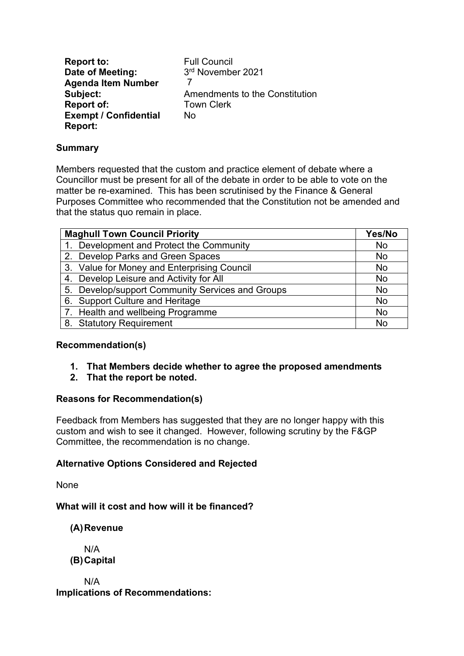**Report to:** Full Council<br> **Date of Meeting:** 3<sup>rd</sup> November 2021 **Date of Meeting: Agenda Item Number Subject:** Amendments to the Constitution **Report of:** Town Clerk **Exempt / Confidential Report:** No 7

## **Summary**

Members requested that the custom and practice element of debate where a Councillor must be present for all of the debate in order to be able to vote on the matter be re-examined. This has been scrutinised by the Finance & General Purposes Committee who recommended that the Constitution not be amended and that the status quo remain in place.

| <b>Maghull Town Council Priority</b>             | Yes/No    |
|--------------------------------------------------|-----------|
| 1. Development and Protect the Community         | <b>No</b> |
| 2. Develop Parks and Green Spaces                | <b>No</b> |
| 3. Value for Money and Enterprising Council      | <b>No</b> |
| 4. Develop Leisure and Activity for All          | <b>No</b> |
| 5. Develop/support Community Services and Groups | <b>No</b> |
| 6. Support Culture and Heritage                  | <b>No</b> |
| 7. Health and wellbeing Programme                | <b>No</b> |
| 8. Statutory Requirement                         | N٥        |

## **Recommendation(s)**

- **1. That Members decide whether to agree the proposed amendments**
- **2. That the report be noted.**

## **Reasons for Recommendation(s)**

Feedback from Members has suggested that they are no longer happy with this custom and wish to see it changed. However, following scrutiny by the F&GP Committee, the recommendation is no change.

## **Alternative Options Considered and Rejected**

None

**What will it cost and how will it be financed?**

**(A)Revenue**

N/A **(B)Capital**

N/A **Implications of Recommendations:**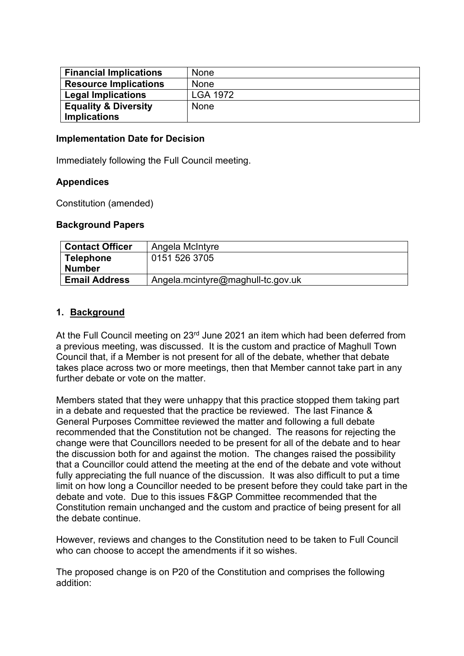| <b>Financial Implications</b>   | <b>None</b>     |
|---------------------------------|-----------------|
| <b>Resource Implications</b>    | None            |
| <b>Legal Implications</b>       | <b>LGA 1972</b> |
| <b>Equality &amp; Diversity</b> | None            |
| <b>Implications</b>             |                 |

#### **Implementation Date for Decision**

Immediately following the Full Council meeting.

#### **Appendices**

Constitution (amended)

#### **Background Papers**

| <b>Contact Officer</b> | Angela McIntyre                   |
|------------------------|-----------------------------------|
| <b>Telephone</b>       | 0151 526 3705                     |
| Number                 |                                   |
| <b>Email Address</b>   | Angela.mcintyre@maghull-tc.gov.uk |

#### **1. Background**

At the Full Council meeting on 23<sup>rd</sup> June 2021 an item which had been deferred from a previous meeting, was discussed. It is the custom and practice of Maghull Town Council that, if a Member is not present for all of the debate, whether that debate takes place across two or more meetings, then that Member cannot take part in any further debate or vote on the matter.

Members stated that they were unhappy that this practice stopped them taking part in a debate and requested that the practice be reviewed. The last Finance & General Purposes Committee reviewed the matter and following a full debate recommended that the Constitution not be changed. The reasons for rejecting the change were that Councillors needed to be present for all of the debate and to hear the discussion both for and against the motion. The changes raised the possibility that a Councillor could attend the meeting at the end of the debate and vote without fully appreciating the full nuance of the discussion. It was also difficult to put a time limit on how long a Councillor needed to be present before they could take part in the debate and vote. Due to this issues F&GP Committee recommended that the Constitution remain unchanged and the custom and practice of being present for all the debate continue.

However, reviews and changes to the Constitution need to be taken to Full Council who can choose to accept the amendments if it so wishes.

The proposed change is on P20 of the Constitution and comprises the following addition: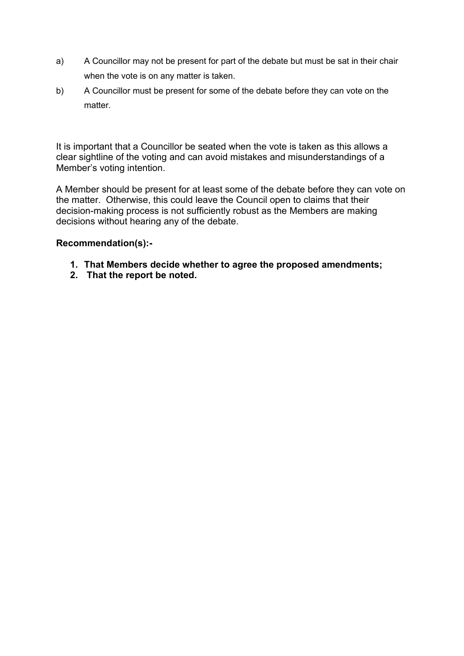- a) A Councillor may not be present for part of the debate but must be sat in their chair when the vote is on any matter is taken.
- b) A Councillor must be present for some of the debate before they can vote on the matter.

It is important that a Councillor be seated when the vote is taken as this allows a clear sightline of the voting and can avoid mistakes and misunderstandings of a Member's voting intention.

A Member should be present for at least some of the debate before they can vote on the matter. Otherwise, this could leave the Council open to claims that their decision-making process is not sufficiently robust as the Members are making decisions without hearing any of the debate.

## **Recommendation(s):-**

- **1. That Members decide whether to agree the proposed amendments;**
- **2. That the report be noted.**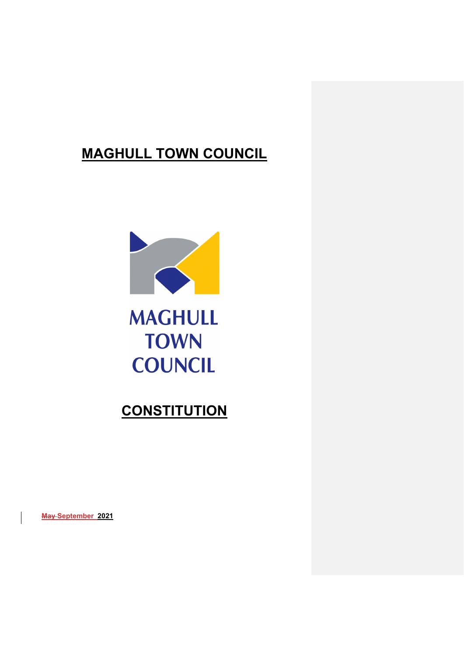## **MAGHULL TOWN COUNCIL**



# **MAGHULL TOWN COUNCIL**

## **CONSTITUTION**

**May September 2021**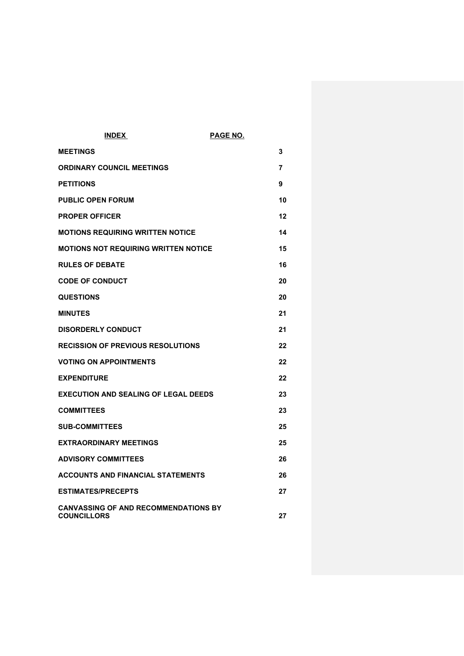| <b>INDEX</b>                                                      | PAGE NO. |    |
|-------------------------------------------------------------------|----------|----|
| <b>MEETINGS</b>                                                   | 3        |    |
| <b>ORDINARY COUNCIL MEETINGS</b>                                  | 7        |    |
| <b>PETITIONS</b>                                                  | 9        |    |
| <b>PUBLIC OPEN FORUM</b>                                          |          | 10 |
| <b>PROPER OFFICER</b>                                             |          | 12 |
| <b>MOTIONS REQUIRING WRITTEN NOTICE</b>                           |          | 14 |
| <b>MOTIONS NOT REQUIRING WRITTEN NOTICE</b>                       |          | 15 |
| <b>RULES OF DEBATE</b>                                            |          | 16 |
| <b>CODE OF CONDUCT</b>                                            |          | 20 |
| <b>QUESTIONS</b>                                                  |          | 20 |
| <b>MINUTES</b>                                                    | 21       |    |
| <b>DISORDERLY CONDUCT</b>                                         | 21       |    |
| <b>RECISSION OF PREVIOUS RESOLUTIONS</b>                          |          | 22 |
| <b>VOTING ON APPOINTMENTS</b>                                     |          | 22 |
| <b>EXPENDITURE</b>                                                |          | 22 |
| <b>EXECUTION AND SEALING OF LEGAL DEEDS</b>                       |          | 23 |
| <b>COMMITTEES</b>                                                 |          | 23 |
| <b>SUB-COMMITTEES</b>                                             |          | 25 |
| <b>EXTRAORDINARY MEETINGS</b>                                     |          | 25 |
| <b>ADVISORY COMMITTEES</b>                                        |          | 26 |
| <b>ACCOUNTS AND FINANCIAL STATEMENTS</b>                          |          | 26 |
| <b>ESTIMATES/PRECEPTS</b>                                         |          | 27 |
| <b>CANVASSING OF AND RECOMMENDATIONS BY</b><br><b>COUNCILLORS</b> |          | 27 |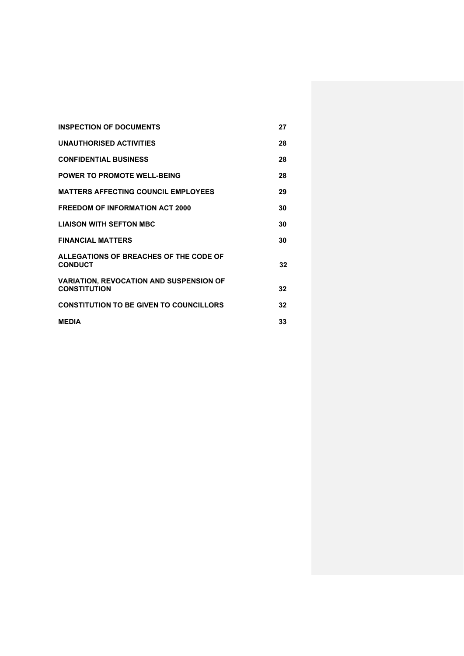| <b>INSPECTION OF DOCUMENTS</b>                                        | 27 |
|-----------------------------------------------------------------------|----|
| <b>UNAUTHORISED ACTIVITIES</b>                                        | 28 |
| <b>CONFIDENTIAL BUSINESS</b>                                          | 28 |
| <b>POWER TO PROMOTE WELL-BEING</b>                                    | 28 |
| <b>MATTERS AFFECTING COUNCIL EMPLOYEES</b>                            | 29 |
| <b>FREEDOM OF INFORMATION ACT 2000</b>                                | 30 |
| <b>LIAISON WITH SEFTON MBC</b>                                        | 30 |
| <b>FINANCIAL MATTERS</b>                                              | 30 |
| ALLEGATIONS OF BREACHES OF THE CODE OF<br><b>CONDUCT</b>              | 32 |
| <b>VARIATION, REVOCATION AND SUSPENSION OF</b><br><b>CONSTITUTION</b> | 32 |
| <b>CONSTITUTION TO BE GIVEN TO COUNCILLORS</b>                        | 32 |
| <b>MFDIA</b>                                                          | 33 |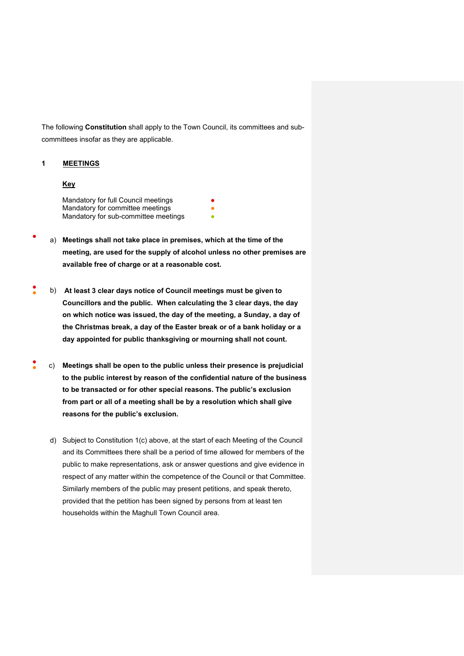The following **Constitution** shall apply to the Town Council, its committees and subcommittees insofar as they are applicable.

#### **1 MEETINGS**

#### **Key**

Mandatory for full Council meetings **●** Mandatory for committee meetings **●** Mandatory for sub-committee meetings

- a) Meetings shall not take place in premises, which at the time of the **meeting, are used for the supply of alcohol unless no other premises are available free of charge or at a reasonable cost.**
- ● b) **At least 3 clear days notice of Council meetings must be given to Councillors and the public. When calculating the 3 clear days, the day on which notice was issued, the day of the meeting, a Sunday, a day of the Christmas break, a day of the Easter break or of a bank holiday or a day appointed for public thanksgiving or mourning shall not count.**
- ● c) **Meetings shall be open to the public unless their presence is prejudicial to the public interest by reason of the confidential nature of the business to be transacted or for other special reasons. The public's exclusion from part or all of a meeting shall be by a resolution which shall give reasons for the public's exclusion.**
	- d) Subject to Constitution 1(c) above, at the start of each Meeting of the Council and its Committees there shall be a period of time allowed for members of the public to make representations, ask or answer questions and give evidence in respect of any matter within the competence of the Council or that Committee. Similarly members of the public may present petitions, and speak thereto, provided that the petition has been signed by persons from at least ten households within the Maghull Town Council area.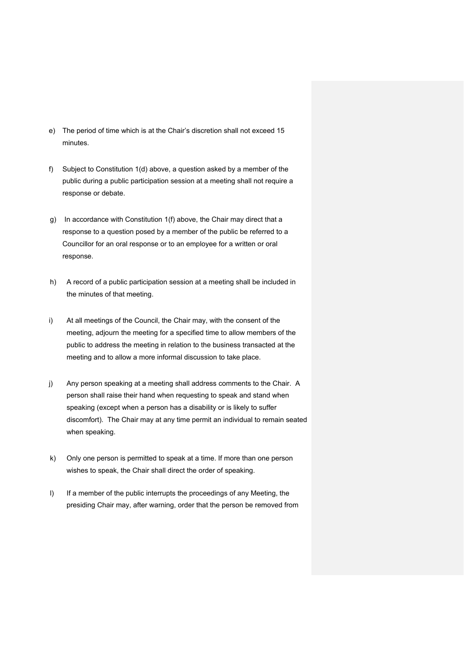- e) The period of time which is at the Chair's discretion shall not exceed 15 minutes.
- f) Subject to Constitution 1(d) above, a question asked by a member of the public during a public participation session at a meeting shall not require a response or debate.
- g) In accordance with Constitution 1(f) above, the Chair may direct that a response to a question posed by a member of the public be referred to a Councillor for an oral response or to an employee for a written or oral response.
- h) A record of a public participation session at a meeting shall be included in the minutes of that meeting.
- i) At all meetings of the Council, the Chair may, with the consent of the meeting, adjourn the meeting for a specified time to allow members of the public to address the meeting in relation to the business transacted at the meeting and to allow a more informal discussion to take place.
- j) Any person speaking at a meeting shall address comments to the Chair. A person shall raise their hand when requesting to speak and stand when speaking (except when a person has a disability or is likely to suffer discomfort). The Chair may at any time permit an individual to remain seated when speaking.
- k) Only one person is permitted to speak at a time. If more than one person wishes to speak, the Chair shall direct the order of speaking.
- I) If a member of the public interrupts the proceedings of any Meeting, the presiding Chair may, after warning, order that the person be removed from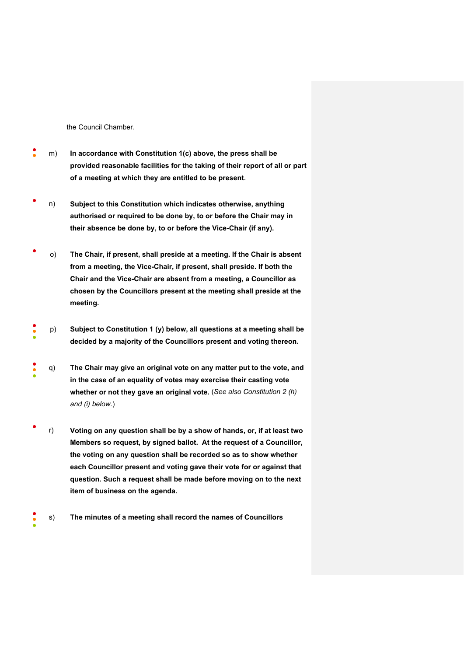the Council Chamber.

- ● m) **In accordance with Constitution 1(c) above, the press shall be provided reasonable facilities for the taking of their report of all or part of a meeting at which they are entitled to be present**.
- n) **Subject to this Constitution which indicates otherwise, anything authorised or required to be done by, to or before the Chair may in their absence be done by, to or before the Vice-Chair (if any).**
- o) **The Chair, if present, shall preside at a meeting. If the Chair is absent from a meeting, the Vice-Chair, if present, shall preside. If both the Chair and the Vice-Chair are absent from a meeting, a Councillor as chosen by the Councillors present at the meeting shall preside at the meeting.**
- ●<br>●<br>●<br>● p) **Subject to Constitution 1 (y) below, all questions at a meeting shall be decided by a majority of the Councillors present and voting thereon.**
- ● ● q) **The Chair may give an original vote on any matter put to the vote, and in the case of an equality of votes may exercise their casting vote whether or not they gave an original vote.** (*See also Constitution 2 (h) and (i) below.*)
- r) **Voting on any question shall be by a show of hands, or, if at least two Members so request, by signed ballot. At the request of a Councillor, the voting on any question shall be recorded so as to show whether each Councillor present and voting gave their vote for or against that question. Such a request shall be made before moving on to the next item of business on the agenda.**
- ● ● s) **The minutes of a meeting shall record the names of Councillors**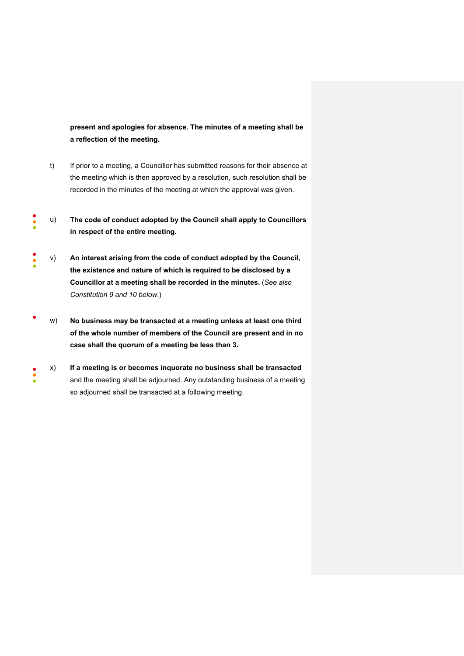**present and apologies for absence. The minutes of a meeting shall be a reflection of the meeting.**

- t) If prior to a meeting, a Councillor has submitted reasons for their absence at the meeting which is then approved by a resolution, such resolution shall be recorded in the minutes of the meeting at which the approval was given.
- ●<br>●<br>● u) **The code of conduct adopted by the Council shall apply to Councillors in respect of the entire meeting.**
- ● ● v) **An interest arising from the code of conduct adopted by the Council, the existence and nature of which is required to be disclosed by a Councillor at a meeting shall be recorded in the minutes.** (*See also Constitution 9 and 10 below*.)
- w) **No business may be transacted at a meeting unless at least one third of the whole number of members of the Council are present and in no case shall the quorum of a meeting be less than 3.**
- ●<br>●<br>● x) **If a meeting is or becomes inquorate no business shall be transacted** and the meeting shall be adjourned. Any outstanding business of a meeting so adjourned shall be transacted at a following meeting.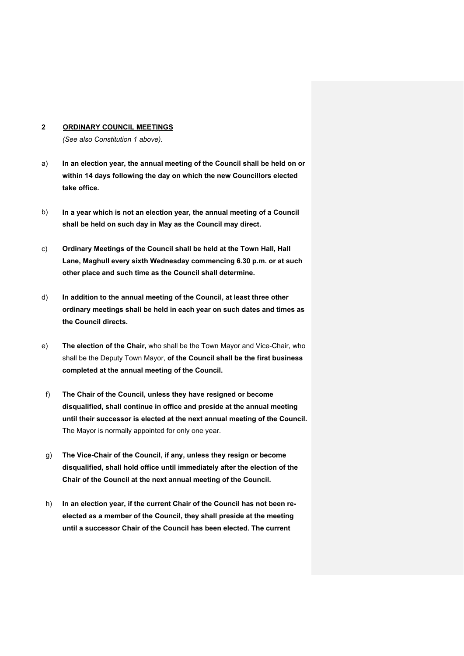#### **2 ORDINARY COUNCIL MEETINGS**

*(See also Constitution 1 above).* 

- a) **In an election year, the annual meeting of the Council shall be held on or within 14 days following the day on which the new Councillors elected take office.**
- b) **In a year which is not an election year, the annual meeting of a Council shall be held on such day in May as the Council may direct.**
- c) **Ordinary Meetings of the Council shall be held at the Town Hall, Hall Lane, Maghull every sixth Wednesday commencing 6.30 p.m. or at such other place and such time as the Council shall determine.**
- d) **In addition to the annual meeting of the Council, at least three other ordinary meetings shall be held in each year on such dates and times as the Council directs.**
- e) **The election of the Chair,** who shall be the Town Mayor and Vice-Chair, who shall be the Deputy Town Mayor, **of the Council shall be the first business completed at the annual meeting of the Council.**
- f) **The Chair of the Council, unless they have resigned or become disqualified, shall continue in office and preside at the annual meeting until their successor is elected at the next annual meeting of the Council.**  The Mayor is normally appointed for only one year.
- g) **The Vice-Chair of the Council, if any, unless they resign or become disqualified, shall hold office until immediately after the election of the Chair of the Council at the next annual meeting of the Council.**
- h) **In an election year, if the current Chair of the Council has not been reelected as a member of the Council, they shall preside at the meeting until a successor Chair of the Council has been elected. The current**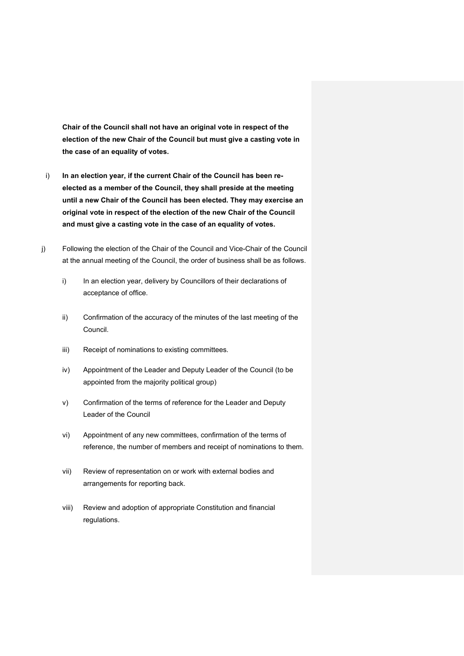**Chair of the Council shall not have an original vote in respect of the election of the new Chair of the Council but must give a casting vote in the case of an equality of votes.**

- i) **In an election year, if the current Chair of the Council has been reelected as a member of the Council, they shall preside at the meeting until a new Chair of the Council has been elected. They may exercise an original vote in respect of the election of the new Chair of the Council and must give a casting vote in the case of an equality of votes.**
- j) Following the election of the Chair of the Council and Vice-Chair of the Council at the annual meeting of the Council, the order of business shall be as follows.
	- i) In an election year, delivery by Councillors of their declarations of acceptance of office.
	- ii) Confirmation of the accuracy of the minutes of the last meeting of the Council.
	- iii) Receipt of nominations to existing committees.
	- iv) Appointment of the Leader and Deputy Leader of the Council (to be appointed from the majority political group)
	- v) Confirmation of the terms of reference for the Leader and Deputy Leader of the Council
	- vi) Appointment of any new committees, confirmation of the terms of reference, the number of members and receipt of nominations to them.
	- vii) Review of representation on or work with external bodies and arrangements for reporting back.
	- viii) Review and adoption of appropriate Constitution and financial regulations.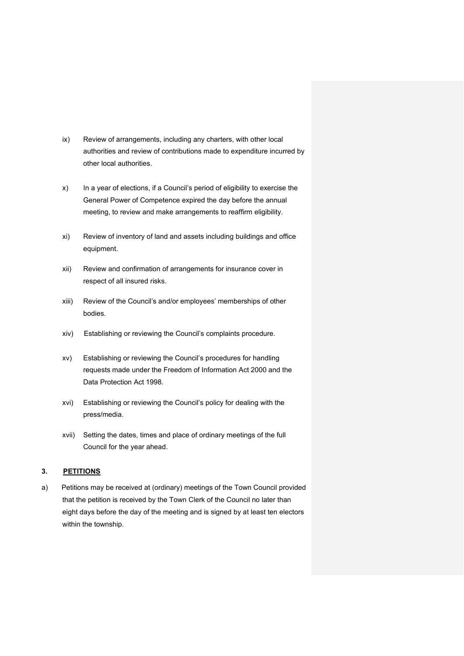- ix) Review of arrangements, including any charters, with other local authorities and review of contributions made to expenditure incurred by other local authorities.
- x) In a year of elections, if a Council's period of eligibility to exercise the General Power of Competence expired the day before the annual meeting, to review and make arrangements to reaffirm eligibility.
- xi) Review of inventory of land and assets including buildings and office equipment.
- xii) Review and confirmation of arrangements for insurance cover in respect of all insured risks.
- xiii) Review of the Council's and/or employees' memberships of other bodies.
- xiv) Establishing or reviewing the Council's complaints procedure.
- xv) Establishing or reviewing the Council's procedures for handling requests made under the Freedom of Information Act 2000 and the Data Protection Act 1998.
- xvi) Establishing or reviewing the Council's policy for dealing with the press/media.
- xvii) Setting the dates, times and place of ordinary meetings of the full Council for the year ahead.

#### **3. PETITIONS**

a) Petitions may be received at (ordinary) meetings of the Town Council provided that the petition is received by the Town Clerk of the Council no later than eight days before the day of the meeting and is signed by at least ten electors within the township.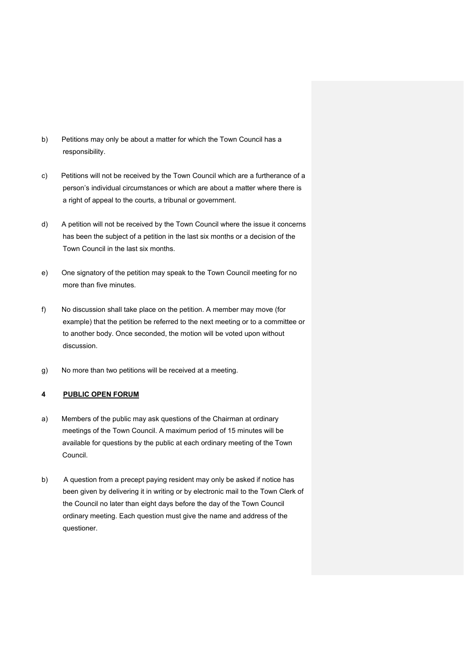- b) Petitions may only be about a matter for which the Town Council has a responsibility.
- c) Petitions will not be received by the Town Council which are a furtherance of a person's individual circumstances or which are about a matter where there is a right of appeal to the courts, a tribunal or government.
- d) A petition will not be received by the Town Council where the issue it concerns has been the subject of a petition in the last six months or a decision of the Town Council in the last six months.
- e) One signatory of the petition may speak to the Town Council meeting for no more than five minutes.
- f) No discussion shall take place on the petition. A member may move (for example) that the petition be referred to the next meeting or to a committee or to another body. Once seconded, the motion will be voted upon without discussion.
- g) No more than two petitions will be received at a meeting.

#### **4 PUBLIC OPEN FORUM**

- a) Members of the public may ask questions of the Chairman at ordinary meetings of the Town Council. A maximum period of 15 minutes will be available for questions by the public at each ordinary meeting of the Town Council.
- b) A question from a precept paying resident may only be asked if notice has been given by delivering it in writing or by electronic mail to the Town Clerk of the Council no later than eight days before the day of the Town Council ordinary meeting. Each question must give the name and address of the questioner.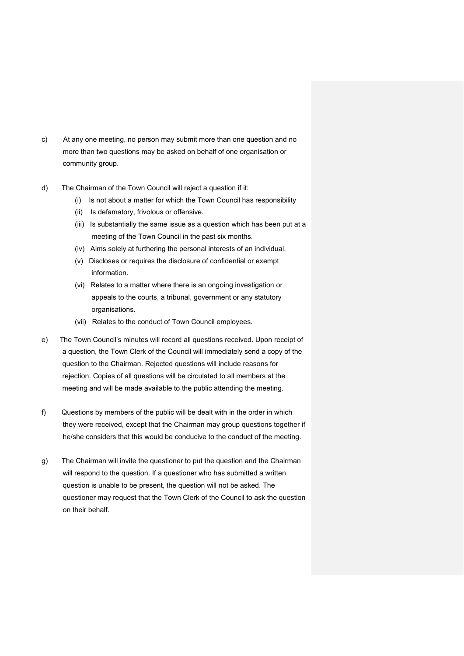- c) At any one meeting, no person may submit more than one question and no more than two questions may be asked on behalf of one organisation or community group.
- d) The Chairman of the Town Council will reject a question if it:
	- (i) Is not about a matter for which the Town Council has responsibility
	- (ii) Is defamatory, frivolous or offensive.
	- (iii) Is substantially the same issue as a question which has been put at a meeting of the Town Council in the past six months.
	- (iv) Aims solely at furthering the personal interests of an individual.
	- (v) Discloses or requires the disclosure of confidential or exempt information.
	- (vi) Relates to a matter where there is an ongoing investigation or appeals to the courts, a tribunal, government or any statutory organisations.
	- (vii) Relates to the conduct of Town Council employees.
- e) The Town Council's minutes will record all questions received. Upon receipt of a question, the Town Clerk of the Council will immediately send a copy of the question to the Chairman. Rejected questions will include reasons for rejection. Copies of all questions will be circulated to all members at the meeting and will be made available to the public attending the meeting.
- f) Questions by members of the public will be dealt with in the order in which they were received, except that the Chairman may group questions together if he/she considers that this would be conducive to the conduct of the meeting.
- g) The Chairman will invite the questioner to put the question and the Chairman will respond to the question. If a questioner who has submitted a written question is unable to be present, the question will not be asked. The questioner may request that the Town Clerk of the Council to ask the question on their behalf.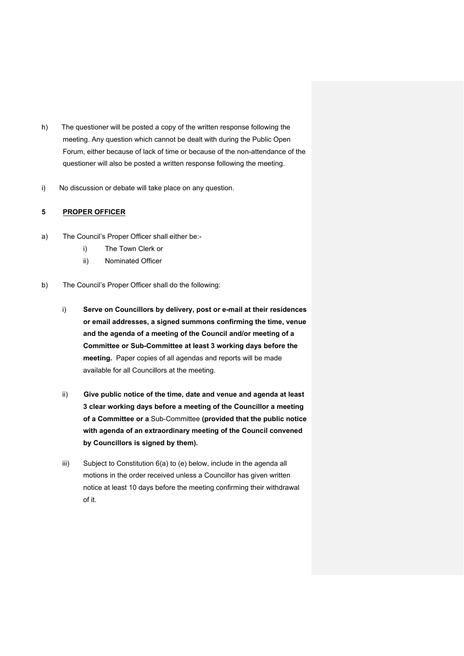- h) The questioner will be posted a copy of the written response following the meeting. Any question which cannot be dealt with during the Public Open Forum, either because of lack of time or because of the non-attendance of the questioner will also be posted a written response following the meeting.
- i) No discussion or debate will take place on any question.

#### **5 PROPER OFFICER**

- a) The Council's Proper Officer shall either be:
	- i) The Town Clerk or
	- ii) Nominated Officer
- b) The Council's Proper Officer shall do the following:
	- i) **Serve on Councillors by delivery, post or e-mail at their residences or email addresses, a signed summons confirming the time, venue and the agenda of a meeting of the Council and/or meeting of a Committee or Sub-Committee at least 3 working days before the meeting.** Paper copies of all agendas and reports will be made available for all Councillors at the meeting.
	- ii) **Give public notice of the time, date and venue and agenda at least 3 clear working days before a meeting of the Councillor a meeting of a Committee or a** Sub-Committee **(provided that the public notice with agenda of an extraordinary meeting of the Council convened by Councillors is signed by them).**
	- iii) Subject to Constitution 6(a) to (e) below, include in the agenda all motions in the order received unless a Councillor has given written notice at least 10 days before the meeting confirming their withdrawal of it.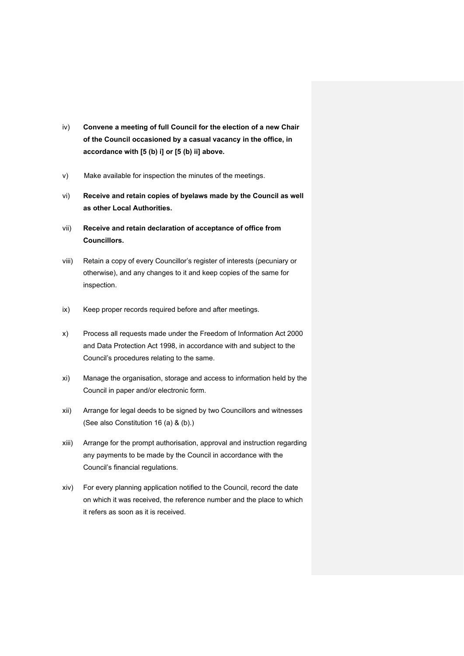- iv) **Convene a meeting of full Council for the election of a new Chair of the Council occasioned by a casual vacancy in the office, in accordance with [5 (b) i] or [5 (b) ii] above.**
- v) Make available for inspection the minutes of the meetings.
- vi) **Receive and retain copies of byelaws made by the Council as well as other Local Authorities.**
- vii) **Receive and retain declaration of acceptance of office from Councillors.**
- viii) Retain a copy of every Councillor's register of interests (pecuniary or otherwise), and any changes to it and keep copies of the same for inspection.
- ix) Keep proper records required before and after meetings.
- x) Process all requests made under the Freedom of Information Act 2000 and Data Protection Act 1998, in accordance with and subject to the Council's procedures relating to the same.
- xi) Manage the organisation, storage and access to information held by the Council in paper and/or electronic form.
- xii) Arrange for legal deeds to be signed by two Councillors and witnesses (See also Constitution 16 (a) & (b).)
- xiii) Arrange for the prompt authorisation, approval and instruction regarding any payments to be made by the Council in accordance with the Council's financial regulations.
- xiv) For every planning application notified to the Council, record the date on which it was received, the reference number and the place to which it refers as soon as it is received.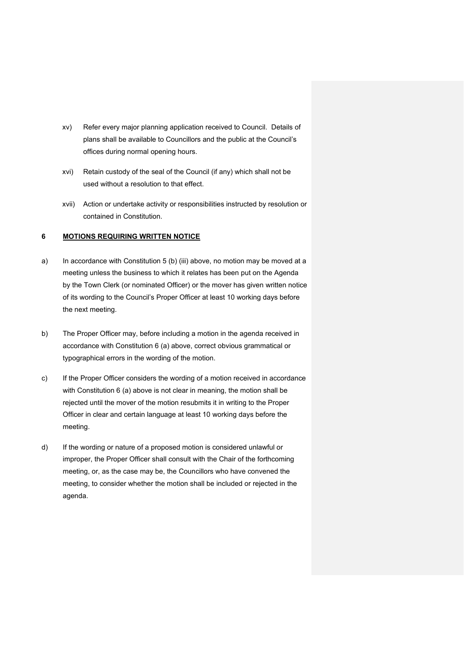- xv) Refer every major planning application received to Council. Details of plans shall be available to Councillors and the public at the Council's offices during normal opening hours.
- xvi) Retain custody of the seal of the Council (if any) which shall not be used without a resolution to that effect.
- xvii) Action or undertake activity or responsibilities instructed by resolution or contained in Constitution.

#### **6 MOTIONS REQUIRING WRITTEN NOTICE**

- a) In accordance with Constitution 5 (b) (iii) above, no motion may be moved at a meeting unless the business to which it relates has been put on the Agenda by the Town Clerk (or nominated Officer) or the mover has given written notice of its wording to the Council's Proper Officer at least 10 working days before the next meeting.
- b) The Proper Officer may, before including a motion in the agenda received in accordance with Constitution 6 (a) above, correct obvious grammatical or typographical errors in the wording of the motion.
- c) If the Proper Officer considers the wording of a motion received in accordance with Constitution 6 (a) above is not clear in meaning, the motion shall be rejected until the mover of the motion resubmits it in writing to the Proper Officer in clear and certain language at least 10 working days before the meeting.
- d) If the wording or nature of a proposed motion is considered unlawful or improper, the Proper Officer shall consult with the Chair of the forthcoming meeting, or, as the case may be, the Councillors who have convened the meeting, to consider whether the motion shall be included or rejected in the agenda.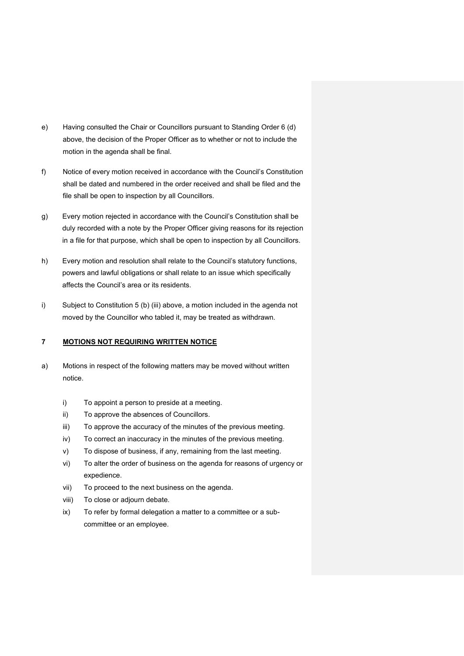- e) Having consulted the Chair or Councillors pursuant to Standing Order 6 (d) above, the decision of the Proper Officer as to whether or not to include the motion in the agenda shall be final.
- f) Notice of every motion received in accordance with the Council's Constitution shall be dated and numbered in the order received and shall be filed and the file shall be open to inspection by all Councillors.
- g) Every motion rejected in accordance with the Council's Constitution shall be duly recorded with a note by the Proper Officer giving reasons for its rejection in a file for that purpose, which shall be open to inspection by all Councillors.
- h) Every motion and resolution shall relate to the Council's statutory functions, powers and lawful obligations or shall relate to an issue which specifically affects the Council's area or its residents.
- i) Subject to Constitution 5 (b) (iii) above, a motion included in the agenda not moved by the Councillor who tabled it, may be treated as withdrawn.

#### **7 MOTIONS NOT REQUIRING WRITTEN NOTICE**

- a) Motions in respect of the following matters may be moved without written notice.
	- i) To appoint a person to preside at a meeting.
	- ii) To approve the absences of Councillors.
	- iii) To approve the accuracy of the minutes of the previous meeting.
	- iv) To correct an inaccuracy in the minutes of the previous meeting.
	- v) To dispose of business, if any, remaining from the last meeting.
	- vi) To alter the order of business on the agenda for reasons of urgency or expedience.
	- vii) To proceed to the next business on the agenda.
	- viii) To close or adjourn debate.
	- ix) To refer by formal delegation a matter to a committee or a subcommittee or an employee.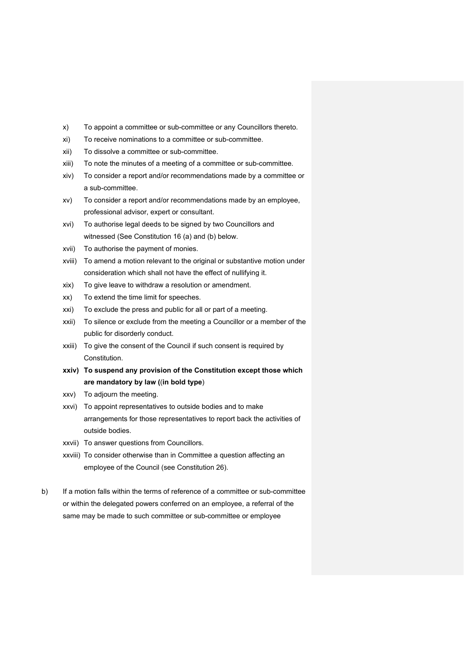- x) To appoint a committee or sub-committee or any Councillors thereto.
- xi) To receive nominations to a committee or sub-committee.
- xii) To dissolve a committee or sub-committee.
- xiii) To note the minutes of a meeting of a committee or sub-committee.
- xiv) To consider a report and/or recommendations made by a committee or a sub-committee.
- xv) To consider a report and/or recommendations made by an employee, professional advisor, expert or consultant.
- xvi) To authorise legal deeds to be signed by two Councillors and witnessed (See Constitution 16 (a) and (b) below.
- xvii) To authorise the payment of monies.
- xviii) To amend a motion relevant to the original or substantive motion under consideration which shall not have the effect of nullifying it.
- xix) To give leave to withdraw a resolution or amendment.
- xx) To extend the time limit for speeches.
- xxi) To exclude the press and public for all or part of a meeting.
- xxii) To silence or exclude from the meeting a Councillor or a member of the public for disorderly conduct.
- xxiii) To give the consent of the Council if such consent is required by Constitution.
- **xxiv) To suspend any provision of the Constitution except those which are mandatory by law (**(**in bold type**)
- xxv) To adjourn the meeting.
- xxvi) To appoint representatives to outside bodies and to make arrangements for those representatives to report back the activities of outside bodies.
- xxvii) To answer questions from Councillors.
- xxviii) To consider otherwise than in Committee a question affecting an employee of the Council (see Constitution 26).
- b) If a motion falls within the terms of reference of a committee or sub-committee or within the delegated powers conferred on an employee, a referral of the same may be made to such committee or sub-committee or employee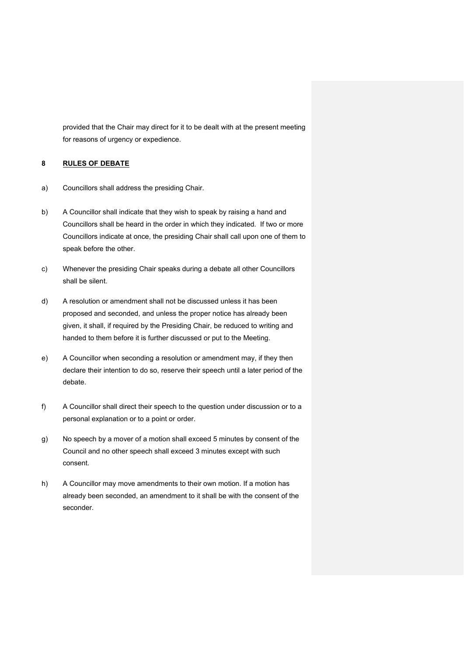provided that the Chair may direct for it to be dealt with at the present meeting for reasons of urgency or expedience.

#### **8 RULES OF DEBATE**

- a) Councillors shall address the presiding Chair.
- b) A Councillor shall indicate that they wish to speak by raising a hand and Councillors shall be heard in the order in which they indicated. If two or more Councillors indicate at once, the presiding Chair shall call upon one of them to speak before the other.
- c) Whenever the presiding Chair speaks during a debate all other Councillors shall be silent.
- d) A resolution or amendment shall not be discussed unless it has been proposed and seconded, and unless the proper notice has already been given, it shall, if required by the Presiding Chair, be reduced to writing and handed to them before it is further discussed or put to the Meeting.
- e) A Councillor when seconding a resolution or amendment may, if they then declare their intention to do so, reserve their speech until a later period of the debate.
- f) A Councillor shall direct their speech to the question under discussion or to a personal explanation or to a point or order.
- g) No speech by a mover of a motion shall exceed 5 minutes by consent of the Council and no other speech shall exceed 3 minutes except with such consent.
- h) A Councillor may move amendments to their own motion. If a motion has already been seconded, an amendment to it shall be with the consent of the seconder.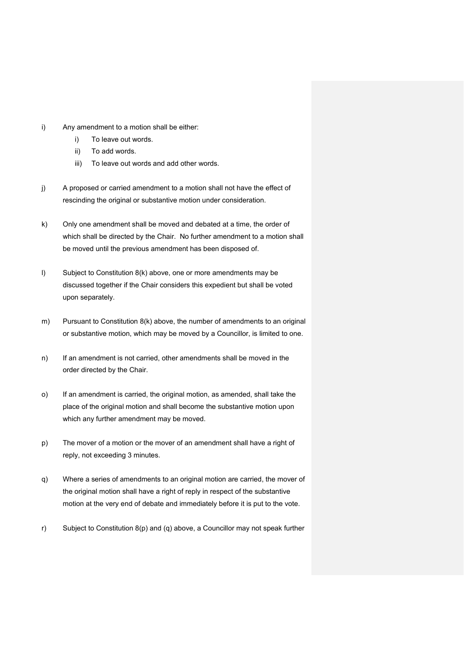- i) Any amendment to a motion shall be either:
	- i) To leave out words.
	- ii) To add words.
	- iii) To leave out words and add other words.
- j) A proposed or carried amendment to a motion shall not have the effect of rescinding the original or substantive motion under consideration.
- k) Only one amendment shall be moved and debated at a time, the order of which shall be directed by the Chair. No further amendment to a motion shall be moved until the previous amendment has been disposed of.
- l) Subject to Constitution 8(k) above, one or more amendments may be discussed together if the Chair considers this expedient but shall be voted upon separately.
- m) Pursuant to Constitution  $8(k)$  above, the number of amendments to an original or substantive motion, which may be moved by a Councillor, is limited to one.
- n) If an amendment is not carried, other amendments shall be moved in the order directed by the Chair.
- o) If an amendment is carried, the original motion, as amended, shall take the place of the original motion and shall become the substantive motion upon which any further amendment may be moved.
- p) The mover of a motion or the mover of an amendment shall have a right of reply, not exceeding 3 minutes.
- q) Where a series of amendments to an original motion are carried, the mover of the original motion shall have a right of reply in respect of the substantive motion at the very end of debate and immediately before it is put to the vote.
- r) Subject to Constitution 8(p) and (q) above, a Councillor may not speak further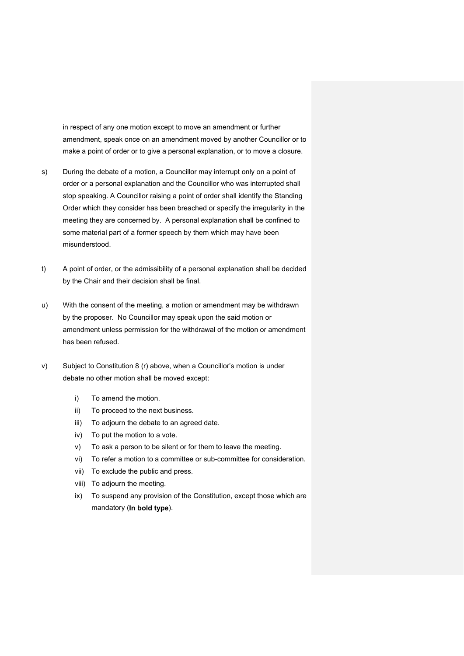in respect of any one motion except to move an amendment or further amendment, speak once on an amendment moved by another Councillor or to make a point of order or to give a personal explanation, or to move a closure.

- s) During the debate of a motion, a Councillor may interrupt only on a point of order or a personal explanation and the Councillor who was interrupted shall stop speaking. A Councillor raising a point of order shall identify the Standing Order which they consider has been breached or specify the irregularity in the meeting they are concerned by. A personal explanation shall be confined to some material part of a former speech by them which may have been misunderstood.
- t) A point of order, or the admissibility of a personal explanation shall be decided by the Chair and their decision shall be final.
- u) With the consent of the meeting, a motion or amendment may be withdrawn by the proposer. No Councillor may speak upon the said motion or amendment unless permission for the withdrawal of the motion or amendment has been refused.
- v) Subject to Constitution 8 (r) above, when a Councillor's motion is under debate no other motion shall be moved except:
	- i) To amend the motion.
	- ii) To proceed to the next business.
	- iii) To adjourn the debate to an agreed date.
	- iv) To put the motion to a vote.
	- v) To ask a person to be silent or for them to leave the meeting.
	- vi) To refer a motion to a committee or sub-committee for consideration.
	- vii) To exclude the public and press.
	- viii) To adjourn the meeting.
	- ix) To suspend any provision of the Constitution, except those which are mandatory (**In bold type**).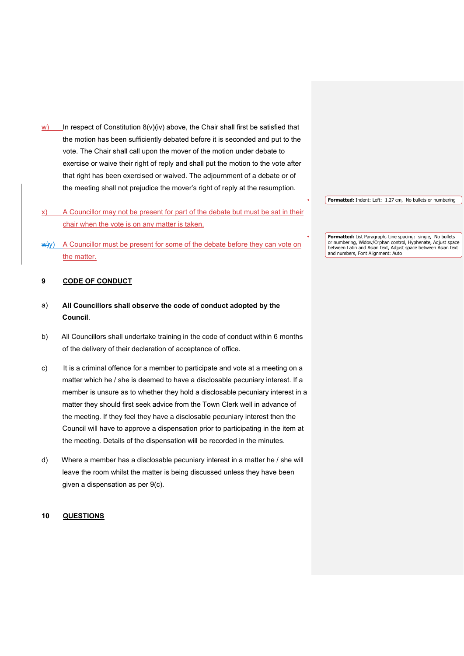- w) In respect of Constitution  $8(v)(iv)$  above, the Chair shall first be satisfied that the motion has been sufficiently debated before it is seconded and put to the vote. The Chair shall call upon the mover of the motion under debate to exercise or waive their right of reply and shall put the motion to the vote after that right has been exercised or waived. The adjournment of a debate or of the meeting shall not prejudice the mover's right of reply at the resumption.
- x) A Councillor may not be present for part of the debate but must be sat in their chair when the vote is on any matter is taken.
- $\psi$ y) A Councillor must be present for some of the debate before they can vote on the matter.

#### **9 CODE OF CONDUCT**

- a) **All Councillors shall observe the code of conduct adopted by the Council**.
- b) All Councillors shall undertake training in the code of conduct within 6 months of the delivery of their declaration of acceptance of office.
- c) It is a criminal offence for a member to participate and vote at a meeting on a matter which he / she is deemed to have a disclosable pecuniary interest. If a member is unsure as to whether they hold a disclosable pecuniary interest in a matter they should first seek advice from the Town Clerk well in advance of the meeting. If they feel they have a disclosable pecuniary interest then the Council will have to approve a dispensation prior to participating in the item at the meeting. Details of the dispensation will be recorded in the minutes.
- d) Where a member has a disclosable pecuniary interest in a matter he / she will leave the room whilst the matter is being discussed unless they have been given a dispensation as per 9(c).

#### **10 QUESTIONS**

**Formatted:** Indent: Left: 1.27 cm, No bullets or numbering

**Formatted:** List Paragraph, Line spacing: single, No bullets or numbering, Widow/Orphan control, Hyphenate, Adjust space between Latin and Asian text, Adjust space between Asian text and numbers, Font Alignment: Auto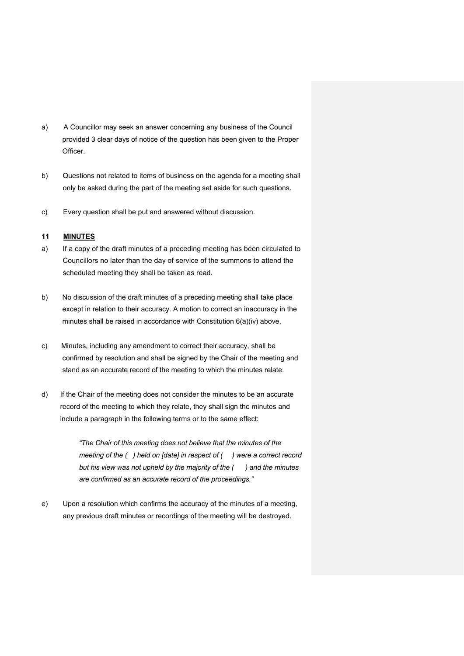- a) A Councillor may seek an answer concerning any business of the Council provided 3 clear days of notice of the question has been given to the Proper Officer.
- b) Questions not related to items of business on the agenda for a meeting shall only be asked during the part of the meeting set aside for such questions.
- c) Every question shall be put and answered without discussion.

#### **11 MINUTES**

- a) If a copy of the draft minutes of a preceding meeting has been circulated to Councillors no later than the day of service of the summons to attend the scheduled meeting they shall be taken as read.
- b) No discussion of the draft minutes of a preceding meeting shall take place except in relation to their accuracy. A motion to correct an inaccuracy in the minutes shall be raised in accordance with Constitution 6(a)(iv) above.
- c) Minutes, including any amendment to correct their accuracy, shall be confirmed by resolution and shall be signed by the Chair of the meeting and stand as an accurate record of the meeting to which the minutes relate.
- d) If the Chair of the meeting does not consider the minutes to be an accurate record of the meeting to which they relate, they shall sign the minutes and include a paragraph in the following terms or to the same effect:

*"The Chair of this meeting does not believe that the minutes of the meeting of the ( ) held on [date] in respect of ( ) were a correct record but his view was not upheld by the majority of the ( ) and the minutes are confirmed as an accurate record of the proceedings."*

e) Upon a resolution which confirms the accuracy of the minutes of a meeting, any previous draft minutes or recordings of the meeting will be destroyed.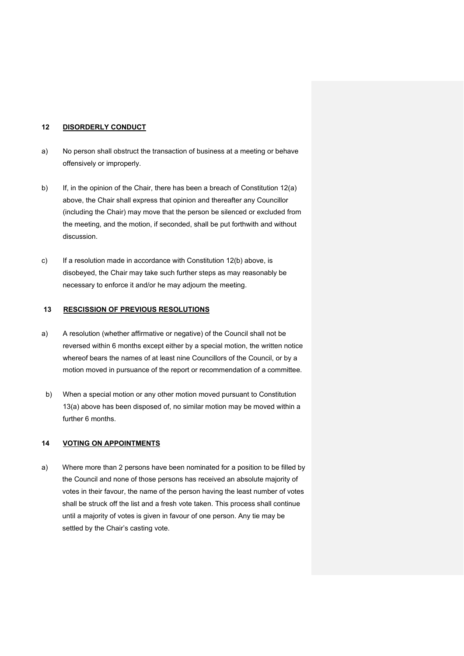#### **12 DISORDERLY CONDUCT**

- a) No person shall obstruct the transaction of business at a meeting or behave offensively or improperly.
- b) If, in the opinion of the Chair, there has been a breach of Constitution 12(a) above, the Chair shall express that opinion and thereafter any Councillor (including the Chair) may move that the person be silenced or excluded from the meeting, and the motion, if seconded, shall be put forthwith and without discussion.
- c) If a resolution made in accordance with Constitution 12(b) above, is disobeyed, the Chair may take such further steps as may reasonably be necessary to enforce it and/or he may adjourn the meeting.

#### **13 RESCISSION OF PREVIOUS RESOLUTIONS**

- a) A resolution (whether affirmative or negative) of the Council shall not be reversed within 6 months except either by a special motion, the written notice whereof bears the names of at least nine Councillors of the Council, or by a motion moved in pursuance of the report or recommendation of a committee.
- b) When a special motion or any other motion moved pursuant to Constitution 13(a) above has been disposed of, no similar motion may be moved within a further 6 months.

#### **14 VOTING ON APPOINTMENTS**

a) Where more than 2 persons have been nominated for a position to be filled by the Council and none of those persons has received an absolute majority of votes in their favour, the name of the person having the least number of votes shall be struck off the list and a fresh vote taken. This process shall continue until a majority of votes is given in favour of one person. Any tie may be settled by the Chair's casting vote.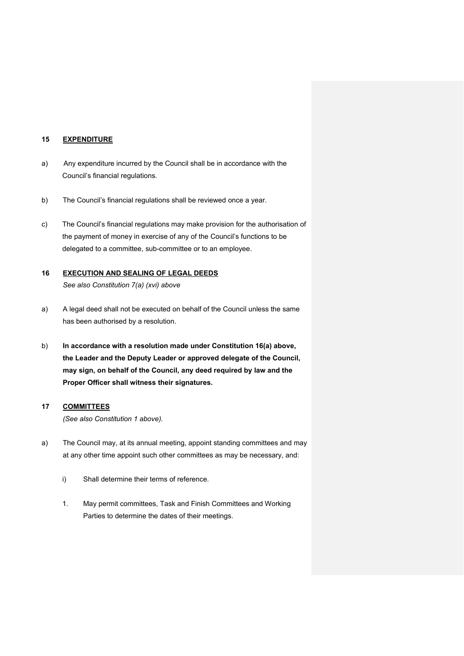#### **15 EXPENDITURE**

- a) Any expenditure incurred by the Council shall be in accordance with the Council's financial regulations.
- b) The Council's financial regulations shall be reviewed once a year.
- c) The Council's financial regulations may make provision for the authorisation of the payment of money in exercise of any of the Council's functions to be delegated to a committee, sub-committee or to an employee.

#### **16 EXECUTION AND SEALING OF LEGAL DEEDS**  *See also Constitution 7(a) (xvi) above*

- a) A legal deed shall not be executed on behalf of the Council unless the same has been authorised by a resolution.
- b) **In accordance with a resolution made under Constitution 16(a) above, the Leader and the Deputy Leader or approved delegate of the Council, may sign, on behalf of the Council, any deed required by law and the Proper Officer shall witness their signatures.**

#### **17 COMMITTEES**

*(See also Constitution 1 above).* 

- a) The Council may, at its annual meeting, appoint standing committees and may at any other time appoint such other committees as may be necessary, and:
	- i) Shall determine their terms of reference.
	- 1. May permit committees, Task and Finish Committees and Working Parties to determine the dates of their meetings.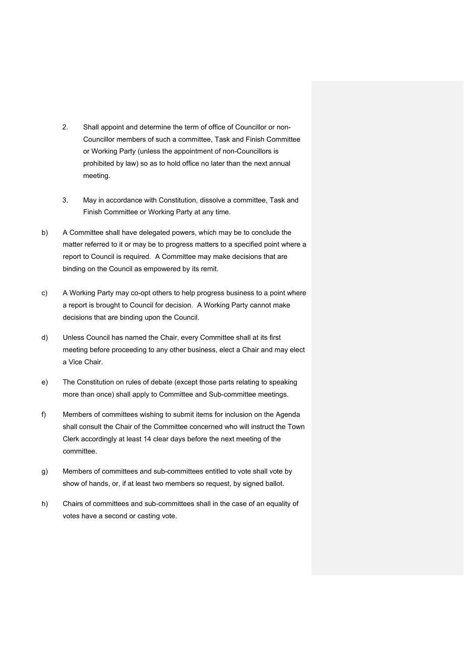- 2. Shall appoint and determine the term of office of Councillor or non-Councillor members of such a committee, Task and Finish Committee or Working Party (unless the appointment of non-Councillors is prohibited by law) so as to hold office no later than the next annual meeting.
- 3. May in accordance with Constitution, dissolve a committee, Task and Finish Committee or Working Party at any time.
- b) A Committee shall have delegated powers, which may be to conclude the matter referred to it or may be to progress matters to a specified point where a report to Council is required. A Committee may make decisions that are binding on the Council as empowered by its remit.
- c) A Working Party may co-opt others to help progress business to a point where a report is brought to Council for decision. A Working Party cannot make decisions that are binding upon the Council.
- d) Unless Council has named the Chair, every Committee shall at its first meeting before proceeding to any other business, elect a Chair and may elect a Vice Chair.
- e) The Constitution on rules of debate (except those parts relating to speaking more than once) shall apply to Committee and Sub-committee meetings.
- f) Members of committees wishing to submit items for inclusion on the Agenda shall consult the Chair of the Committee concerned who will instruct the Town Clerk accordingly at least 14 clear days before the next meeting of the committee.
- g) Members of committees and sub-committees entitled to vote shall vote by show of hands, or, if at least two members so request, by signed ballot.
- h) Chairs of committees and sub-committees shall in the case of an equality of votes have a second or casting vote.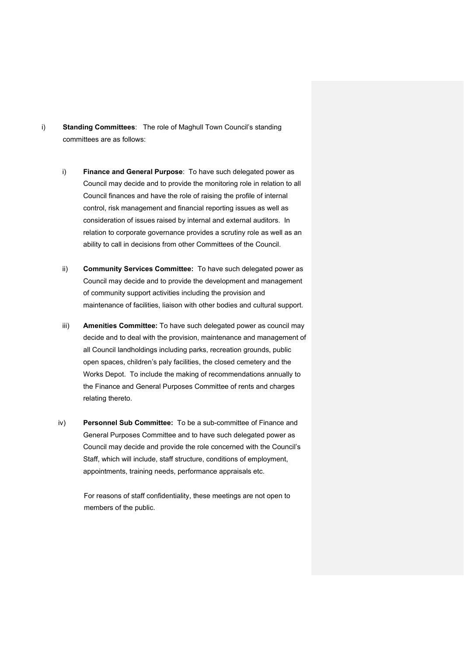- i) **Standing Committees**: The role of Maghull Town Council's standing committees are as follows:
	- i) **Finance and General Purpose**: To have such delegated power as Council may decide and to provide the monitoring role in relation to all Council finances and have the role of raising the profile of internal control, risk management and financial reporting issues as well as consideration of issues raised by internal and external auditors. In relation to corporate governance provides a scrutiny role as well as an ability to call in decisions from other Committees of the Council.
	- ii) **Community Services Committee:** To have such delegated power as Council may decide and to provide the development and management of community support activities including the provision and maintenance of facilities, liaison with other bodies and cultural support.
	- iii) **Amenities Committee:** To have such delegated power as council may decide and to deal with the provision, maintenance and management of all Council landholdings including parks, recreation grounds, public open spaces, children's paly facilities, the closed cemetery and the Works Depot. To include the making of recommendations annually to the Finance and General Purposes Committee of rents and charges relating thereto.
	- iv) **Personnel Sub Committee:** To be a sub-committee of Finance and General Purposes Committee and to have such delegated power as Council may decide and provide the role concerned with the Council's Staff, which will include, staff structure, conditions of employment, appointments, training needs, performance appraisals etc.

For reasons of staff confidentiality, these meetings are not open to members of the public.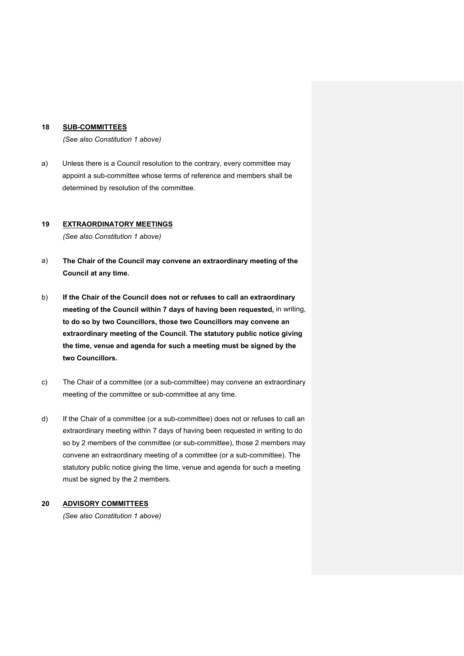#### **18 SUB-COMMITTEES**

 *(See also Constitution 1 above)* 

a) Unless there is a Council resolution to the contrary, every committee may appoint a sub-committee whose terms of reference and members shall be determined by resolution of the committee.

#### **19 EXTRAORDINATORY MEETINGS**

*(See also Constitution 1 above)*

- a) **The Chair of the Council may convene an extraordinary meeting of the Council at any time.**
- b) **If the Chair of the Council does not or refuses to call an extraordinary meeting of the Council within 7 days of having been requested,** in writing, **to do so by two Councillors, those two Councillors may convene an extraordinary meeting of the Council. The statutory public notice giving the time, venue and agenda for such a meeting must be signed by the two Councillors.**
- c) The Chair of a committee (or a sub-committee) may convene an extraordinary meeting of the committee or sub-committee at any time.
- d) If the Chair of a committee (or a sub-committee) does not or refuses to call an extraordinary meeting within 7 days of having been requested in writing to do so by 2 members of the committee (or sub-committee), those 2 members may convene an extraordinary meeting of a committee (or a sub-committee). The statutory public notice giving the time, venue and agenda for such a meeting must be signed by the 2 members.

#### **20 ADVISORY COMMITTEES**

*(See also Constitution 1 above)*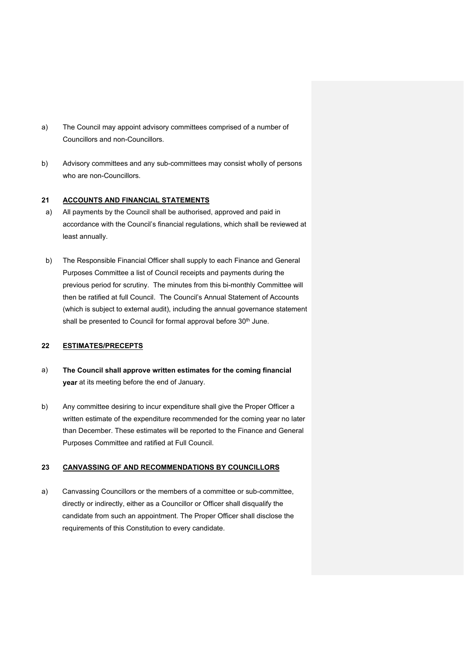- a) The Council may appoint advisory committees comprised of a number of Councillors and non-Councillors.
- b) Advisory committees and any sub-committees may consist wholly of persons who are non-Councillors.

#### **21 ACCOUNTS AND FINANCIAL STATEMENTS**

- a) All payments by the Council shall be authorised, approved and paid in accordance with the Council's financial regulations, which shall be reviewed at least annually.
- b) The Responsible Financial Officer shall supply to each Finance and General Purposes Committee a list of Council receipts and payments during the previous period for scrutiny. The minutes from this bi-monthly Committee will then be ratified at full Council. The Council's Annual Statement of Accounts (which is subject to external audit), including the annual governance statement shall be presented to Council for formal approval before 30<sup>th</sup> June.

#### **22 ESTIMATES/PRECEPTS**

- a) **The Council shall approve written estimates for the coming financial year** at its meeting before the end of January.
- b) Any committee desiring to incur expenditure shall give the Proper Officer a written estimate of the expenditure recommended for the coming year no later than December. These estimates will be reported to the Finance and General Purposes Committee and ratified at Full Council.

#### **23 CANVASSING OF AND RECOMMENDATIONS BY COUNCILLORS**

a) Canvassing Councillors or the members of a committee or sub-committee, directly or indirectly, either as a Councillor or Officer shall disqualify the candidate from such an appointment. The Proper Officer shall disclose the requirements of this Constitution to every candidate.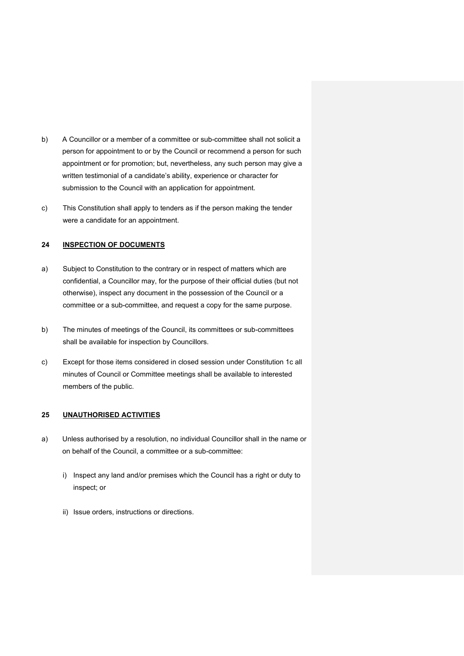- b) A Councillor or a member of a committee or sub-committee shall not solicit a person for appointment to or by the Council or recommend a person for such appointment or for promotion; but, nevertheless, any such person may give a written testimonial of a candidate's ability, experience or character for submission to the Council with an application for appointment.
- c) This Constitution shall apply to tenders as if the person making the tender were a candidate for an appointment.

#### **24 INSPECTION OF DOCUMENTS**

- a) Subject to Constitution to the contrary or in respect of matters which are confidential, a Councillor may, for the purpose of their official duties (but not otherwise), inspect any document in the possession of the Council or a committee or a sub-committee, and request a copy for the same purpose.
- b) The minutes of meetings of the Council, its committees or sub-committees shall be available for inspection by Councillors.
- c) Except for those items considered in closed session under Constitution 1c all minutes of Council or Committee meetings shall be available to interested members of the public.

#### **25 UNAUTHORISED ACTIVITIES**

- a) Unless authorised by a resolution, no individual Councillor shall in the name or on behalf of the Council, a committee or a sub-committee:
	- i) Inspect any land and/or premises which the Council has a right or duty to inspect; or
	- ii) Issue orders, instructions or directions.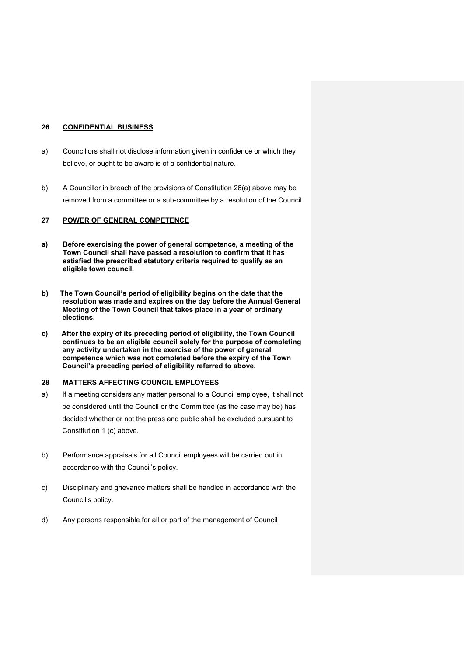#### **26 CONFIDENTIAL BUSINESS**

- a) Councillors shall not disclose information given in confidence or which they believe, or ought to be aware is of a confidential nature.
- b) A Councillor in breach of the provisions of Constitution 26(a) above may be removed from a committee or a sub-committee by a resolution of the Council.

#### **27 POWER OF GENERAL COMPETENCE**

- **a) Before exercising the power of general competence, a meeting of the Town Council shall have passed a resolution to confirm that it has satisfied the prescribed statutory criteria required to qualify as an eligible town council.**
- **b) The Town Council's period of eligibility begins on the date that the resolution was made and expires on the day before the Annual General Meeting of the Town Council that takes place in a year of ordinary elections.**
- **c) After the expiry of its preceding period of eligibility, the Town Council continues to be an eligible council solely for the purpose of completing any activity undertaken in the exercise of the power of general competence which was not completed before the expiry of the Town Council's preceding period of eligibility referred to above.**

#### **28 MATTERS AFFECTING COUNCIL EMPLOYEES**

- a) If a meeting considers any matter personal to a Council employee, it shall not be considered until the Council or the Committee (as the case may be) has decided whether or not the press and public shall be excluded pursuant to Constitution 1 (c) above.
- b) Performance appraisals for all Council employees will be carried out in accordance with the Council's policy.
- c) Disciplinary and grievance matters shall be handled in accordance with the Council's policy.
- d) Any persons responsible for all or part of the management of Council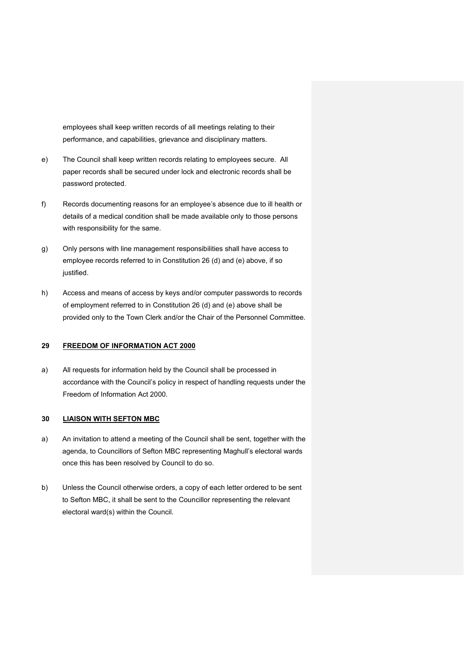employees shall keep written records of all meetings relating to their performance, and capabilities, grievance and disciplinary matters.

- e) The Council shall keep written records relating to employees secure. All paper records shall be secured under lock and electronic records shall be password protected.
- f) Records documenting reasons for an employee's absence due to ill health or details of a medical condition shall be made available only to those persons with responsibility for the same.
- g) Only persons with line management responsibilities shall have access to employee records referred to in Constitution 26 (d) and (e) above, if so justified.
- h) Access and means of access by keys and/or computer passwords to records of employment referred to in Constitution 26 (d) and (e) above shall be provided only to the Town Clerk and/or the Chair of the Personnel Committee.

#### **29 FREEDOM OF INFORMATION ACT 2000**

a) All requests for information held by the Council shall be processed in accordance with the Council's policy in respect of handling requests under the Freedom of Information Act 2000.

#### **30 LIAISON WITH SEFTON MBC**

- a) An invitation to attend a meeting of the Council shall be sent, together with the agenda, to Councillors of Sefton MBC representing Maghull's electoral wards once this has been resolved by Council to do so.
- b) Unless the Council otherwise orders, a copy of each letter ordered to be sent to Sefton MBC, it shall be sent to the Councillor representing the relevant electoral ward(s) within the Council.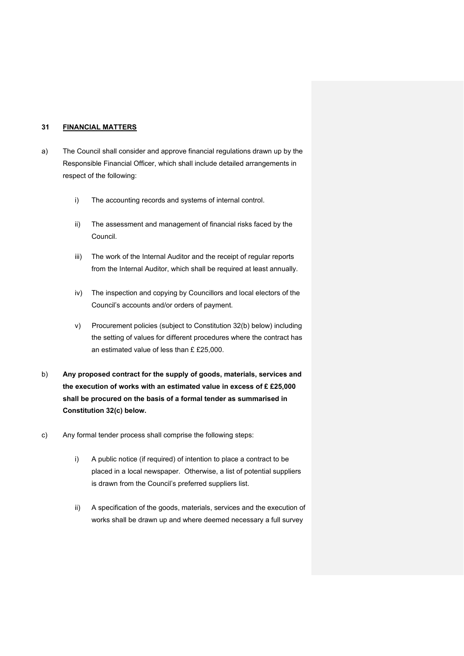#### **31 FINANCIAL MATTERS**

- a) The Council shall consider and approve financial regulations drawn up by the Responsible Financial Officer, which shall include detailed arrangements in respect of the following:
	- i) The accounting records and systems of internal control.
	- ii) The assessment and management of financial risks faced by the Council.
	- iii) The work of the Internal Auditor and the receipt of regular reports from the Internal Auditor, which shall be required at least annually.
	- iv) The inspection and copying by Councillors and local electors of the Council's accounts and/or orders of payment.
	- v) Procurement policies (subject to Constitution 32(b) below) including the setting of values for different procedures where the contract has an estimated value of less than £ £25,000.
- b) **Any proposed contract for the supply of goods, materials, services and the execution of works with an estimated value in excess of £ £25,000 shall be procured on the basis of a formal tender as summarised in Constitution 32(c) below.**
- c) Any formal tender process shall comprise the following steps:
	- i) A public notice (if required) of intention to place a contract to be placed in a local newspaper. Otherwise, a list of potential suppliers is drawn from the Council's preferred suppliers list.
	- ii) A specification of the goods, materials, services and the execution of works shall be drawn up and where deemed necessary a full survey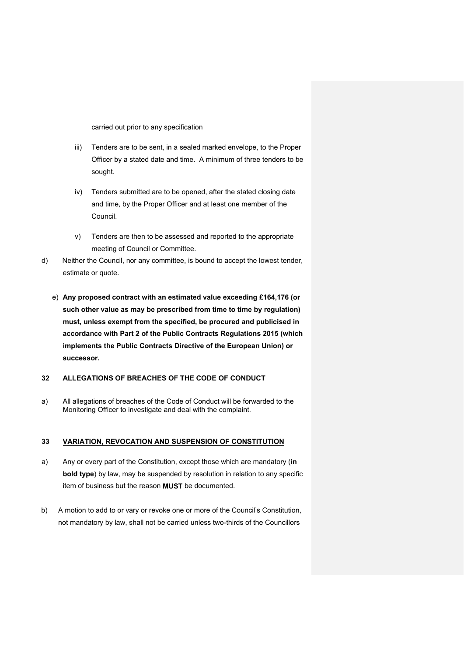carried out prior to any specification

- iii) Tenders are to be sent, in a sealed marked envelope, to the Proper Officer by a stated date and time. A minimum of three tenders to be sought.
- iv) Tenders submitted are to be opened, after the stated closing date and time, by the Proper Officer and at least one member of the Council.
- v) Tenders are then to be assessed and reported to the appropriate meeting of Council or Committee.
- d) Neither the Council, nor any committee, is bound to accept the lowest tender, estimate or quote.
	- e) **Any proposed contract with an estimated value exceeding £164,176 (or such other value as may be prescribed from time to time by regulation) must, unless exempt from the specified, be procured and publicised in accordance with Part 2 of the Public Contracts Regulations 2015 (which implements the Public Contracts Directive of the European Union) or successor.**

#### **32 ALLEGATIONS OF BREACHES OF THE CODE OF CONDUCT**

a) All allegations of breaches of the Code of Conduct will be forwarded to the Monitoring Officer to investigate and deal with the complaint.

#### **33 VARIATION, REVOCATION AND SUSPENSION OF CONSTITUTION**

- a) Any or every part of the Constitution, except those which are mandatory (**in bold type**) by law, may be suspended by resolution in relation to any specific item of business but the reason **MUST** be documented.
- b) A motion to add to or vary or revoke one or more of the Council's Constitution, not mandatory by law, shall not be carried unless two-thirds of the Councillors